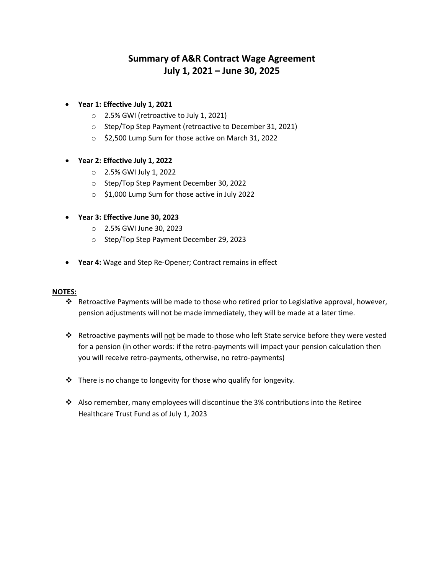# **Summary of A&R Contract Wage Agreement July 1, 2021 – June 30, 2025**

- **Year 1: Effective July 1, 2021** 
	- o 2.5% GWI (retroactive to July 1, 2021)
	- o Step/Top Step Payment (retroactive to December 31, 2021)
	- o \$2,500 Lump Sum for those active on March 31, 2022

#### **Year 2: Effective July 1, 2022**

- o 2.5% GWI July 1, 2022
- o Step/Top Step Payment December 30, 2022
- o \$1,000 Lump Sum for those active in July 2022
- **Year 3: Effective June 30, 2023** 
	- o 2.5% GWI June 30, 2023
	- o Step/Top Step Payment December 29, 2023
- **Year 4:** Wage and Step Re-Opener; Contract remains in effect

#### **NOTES:**

- Retroactive Payments will be made to those who retired prior to Legislative approval, however, pension adjustments will not be made immediately, they will be made at a later time.
- \* Retroactive payments will not be made to those who left State service before they were vested for a pension (in other words: if the retro-payments will impact your pension calculation then you will receive retro-payments, otherwise, no retro-payments)
- There is no change to longevity for those who qualify for longevity.
- $\triangleleft$  Also remember, many employees will discontinue the 3% contributions into the Retiree Healthcare Trust Fund as of July 1, 2023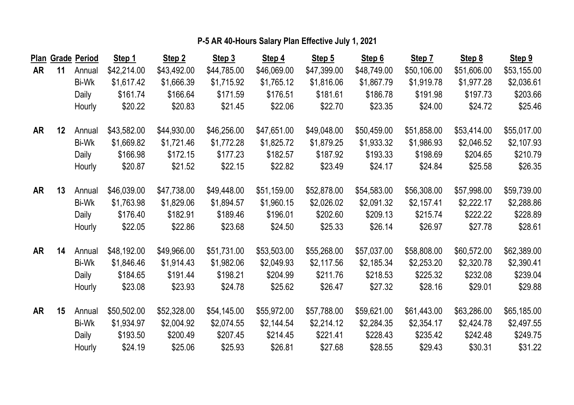|    |    | Plan Grade Period | Step 1      | Step 2      | Step 3      | Step 4      | Step 5      | Step 6      | Step 7      | Step 8      | Step 9      |
|----|----|-------------------|-------------|-------------|-------------|-------------|-------------|-------------|-------------|-------------|-------------|
| AR | 11 | Annual            | \$42,214.00 | \$43,492.00 | \$44,785.00 | \$46,069.00 | \$47,399.00 | \$48,749.00 | \$50,106.00 | \$51,606.00 | \$53,155.00 |
|    |    | Bi-Wk             | \$1,617.42  | \$1,666.39  | \$1,715.92  | \$1,765.12  | \$1,816.06  | \$1,867.79  | \$1,919.78  | \$1,977.28  | \$2,036.61  |
|    |    | Daily             | \$161.74    | \$166.64    | \$171.59    | \$176.51    | \$181.61    | \$186.78    | \$191.98    | \$197.73    | \$203.66    |
|    |    | Hourly            | \$20.22     | \$20.83     | \$21.45     | \$22.06     | \$22.70     | \$23.35     | \$24.00     | \$24.72     | \$25.46     |
| AR | 12 | Annual            | \$43,582.00 | \$44,930.00 | \$46,256.00 | \$47,651.00 | \$49,048.00 | \$50,459.00 | \$51,858.00 | \$53,414.00 | \$55,017.00 |
|    |    | Bi-Wk             | \$1,669.82  | \$1,721.46  | \$1,772.28  | \$1,825.72  | \$1,879.25  | \$1,933.32  | \$1,986.93  | \$2,046.52  | \$2,107.93  |
|    |    | Daily             | \$166.98    | \$172.15    | \$177.23    | \$182.57    | \$187.92    | \$193.33    | \$198.69    | \$204.65    | \$210.79    |
|    |    | Hourly            | \$20.87     | \$21.52     | \$22.15     | \$22.82     | \$23.49     | \$24.17     | \$24.84     | \$25.58     | \$26.35     |
| AR | 13 | Annual            | \$46,039.00 | \$47,738.00 | \$49,448.00 | \$51,159.00 | \$52,878.00 | \$54,583.00 | \$56,308.00 | \$57,998.00 | \$59,739.00 |
|    |    | Bi-Wk             | \$1,763.98  | \$1,829.06  | \$1,894.57  | \$1,960.15  | \$2,026.02  | \$2,091.32  | \$2,157.41  | \$2,222.17  | \$2,288.86  |
|    |    | Daily             | \$176.40    | \$182.91    | \$189.46    | \$196.01    | \$202.60    | \$209.13    | \$215.74    | \$222.22    | \$228.89    |
|    |    | Hourly            | \$22.05     | \$22.86     | \$23.68     | \$24.50     | \$25.33     | \$26.14     | \$26.97     | \$27.78     | \$28.61     |
| AR | 14 | Annual            | \$48,192.00 | \$49,966.00 | \$51,731.00 | \$53,503.00 | \$55,268.00 | \$57,037.00 | \$58,808.00 | \$60,572.00 | \$62,389.00 |
|    |    | Bi-Wk             | \$1,846.46  | \$1,914.43  | \$1,982.06  | \$2,049.93  | \$2,117.56  | \$2,185.34  | \$2,253.20  | \$2,320.78  | \$2,390.41  |
|    |    | Daily             | \$184.65    | \$191.44    | \$198.21    | \$204.99    | \$211.76    | \$218.53    | \$225.32    | \$232.08    | \$239.04    |
|    |    | Hourly            | \$23.08     | \$23.93     | \$24.78     | \$25.62     | \$26.47     | \$27.32     | \$28.16     | \$29.01     | \$29.88     |
| AR | 15 | Annual            | \$50,502.00 | \$52,328.00 | \$54,145.00 | \$55,972.00 | \$57,788.00 | \$59,621.00 | \$61,443.00 | \$63,286.00 | \$65,185.00 |
|    |    | Bi-Wk             | \$1,934.97  | \$2,004.92  | \$2,074.55  | \$2,144.54  | \$2,214.12  | \$2,284.35  | \$2,354.17  | \$2,424.78  | \$2,497.55  |
|    |    | Daily             | \$193.50    | \$200.49    | \$207.45    | \$214.45    | \$221.41    | \$228.43    | \$235.42    | \$242.48    | \$249.75    |
|    |    | Hourly            | \$24.19     | \$25.06     | \$25.93     | \$26.81     | \$27.68     | \$28.55     | \$29.43     | \$30.31     | \$31.22     |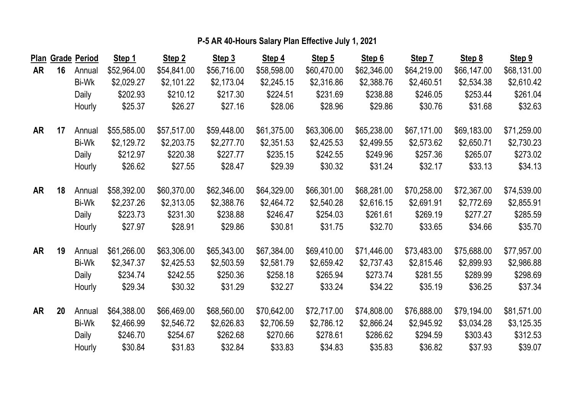|    |    | Plan Grade Period | Step 1      | Step 2      | Step 3      | Step 4      | Step 5      | Step 6      | Step 7      | Step 8      | Step 9      |
|----|----|-------------------|-------------|-------------|-------------|-------------|-------------|-------------|-------------|-------------|-------------|
| AR | 16 | Annual            | \$52,964.00 | \$54,841.00 | \$56,716.00 | \$58,598.00 | \$60,470.00 | \$62,346.00 | \$64,219.00 | \$66,147.00 | \$68,131.00 |
|    |    | Bi-Wk             | \$2,029.27  | \$2,101.22  | \$2,173.04  | \$2,245.15  | \$2,316.86  | \$2,388.76  | \$2,460.51  | \$2,534.38  | \$2,610.42  |
|    |    | Daily             | \$202.93    | \$210.12    | \$217.30    | \$224.51    | \$231.69    | \$238.88    | \$246.05    | \$253.44    | \$261.04    |
|    |    | Hourly            | \$25.37     | \$26.27     | \$27.16     | \$28.06     | \$28.96     | \$29.86     | \$30.76     | \$31.68     | \$32.63     |
| AR | 17 | Annual            | \$55,585.00 | \$57,517.00 | \$59,448.00 | \$61,375.00 | \$63,306.00 | \$65,238.00 | \$67,171.00 | \$69,183.00 | \$71,259.00 |
|    |    | Bi-Wk             | \$2,129.72  | \$2,203.75  | \$2,277.70  | \$2,351.53  | \$2,425.53  | \$2,499.55  | \$2,573.62  | \$2,650.71  | \$2,730.23  |
|    |    | Daily             | \$212.97    | \$220.38    | \$227.77    | \$235.15    | \$242.55    | \$249.96    | \$257.36    | \$265.07    | \$273.02    |
|    |    | Hourly            | \$26.62     | \$27.55     | \$28.47     | \$29.39     | \$30.32     | \$31.24     | \$32.17     | \$33.13     | \$34.13     |
| AR | 18 | Annual            | \$58,392.00 | \$60,370.00 | \$62,346.00 | \$64,329.00 | \$66,301.00 | \$68,281.00 | \$70,258.00 | \$72,367.00 | \$74,539.00 |
|    |    | Bi-Wk             | \$2,237.26  | \$2,313.05  | \$2,388.76  | \$2,464.72  | \$2,540.28  | \$2,616.15  | \$2,691.91  | \$2,772.69  | \$2,855.91  |
|    |    | Daily             | \$223.73    | \$231.30    | \$238.88    | \$246.47    | \$254.03    | \$261.61    | \$269.19    | \$277.27    | \$285.59    |
|    |    | Hourly            | \$27.97     | \$28.91     | \$29.86     | \$30.81     | \$31.75     | \$32.70     | \$33.65     | \$34.66     | \$35.70     |
| AR | 19 | Annual            | \$61,266.00 | \$63,306.00 | \$65,343.00 | \$67,384.00 | \$69,410.00 | \$71,446.00 | \$73,483.00 | \$75,688.00 | \$77,957.00 |
|    |    | Bi-Wk             | \$2,347.37  | \$2,425.53  | \$2,503.59  | \$2,581.79  | \$2,659.42  | \$2,737.43  | \$2,815.46  | \$2,899.93  | \$2,986.88  |
|    |    | Daily             | \$234.74    | \$242.55    | \$250.36    | \$258.18    | \$265.94    | \$273.74    | \$281.55    | \$289.99    | \$298.69    |
|    |    | Hourly            | \$29.34     | \$30.32     | \$31.29     | \$32.27     | \$33.24     | \$34.22     | \$35.19     | \$36.25     | \$37.34     |
| AR | 20 | Annual            | \$64,388.00 | \$66,469.00 | \$68,560.00 | \$70,642.00 | \$72,717.00 | \$74,808.00 | \$76,888.00 | \$79,194.00 | \$81,571.00 |
|    |    | Bi-Wk             | \$2,466.99  | \$2,546.72  | \$2,626.83  | \$2,706.59  | \$2,786.12  | \$2,866.24  | \$2,945.92  | \$3,034.28  | \$3,125.35  |
|    |    | Daily             | \$246.70    | \$254.67    | \$262.68    | \$270.66    | \$278.61    | \$286.62    | \$294.59    | \$303.43    | \$312.53    |
|    |    | Hourly            | \$30.84     | \$31.83     | \$32.84     | \$33.83     | \$34.83     | \$35.83     | \$36.82     | \$37.93     | \$39.07     |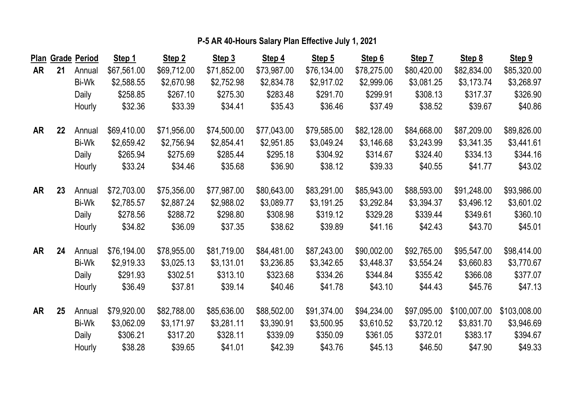|           |    | Plan Grade Period | Step 1      | Step 2      | Step 3      | Step 4      | Step 5      | Step 6      | Step 7      | Step 8       | Step 9       |
|-----------|----|-------------------|-------------|-------------|-------------|-------------|-------------|-------------|-------------|--------------|--------------|
| <b>AR</b> | 21 | Annual            | \$67,561.00 | \$69,712.00 | \$71,852.00 | \$73,987.00 | \$76,134.00 | \$78,275.00 | \$80,420.00 | \$82,834.00  | \$85,320.00  |
|           |    | Bi-Wk             | \$2,588.55  | \$2,670.98  | \$2,752.98  | \$2,834.78  | \$2,917.02  | \$2,999.06  | \$3,081.25  | \$3,173.74   | \$3,268.97   |
|           |    | Daily             | \$258.85    | \$267.10    | \$275.30    | \$283.48    | \$291.70    | \$299.91    | \$308.13    | \$317.37     | \$326.90     |
|           |    | Hourly            | \$32.36     | \$33.39     | \$34.41     | \$35.43     | \$36.46     | \$37.49     | \$38.52     | \$39.67      | \$40.86      |
| <b>AR</b> | 22 | Annual            | \$69,410.00 | \$71,956.00 | \$74,500.00 | \$77,043.00 | \$79,585.00 | \$82,128.00 | \$84,668.00 | \$87,209.00  | \$89,826.00  |
|           |    | Bi-Wk             | \$2,659.42  | \$2,756.94  | \$2,854.41  | \$2,951.85  | \$3,049.24  | \$3,146.68  | \$3,243.99  | \$3,341.35   | \$3,441.61   |
|           |    | Daily             | \$265.94    | \$275.69    | \$285.44    | \$295.18    | \$304.92    | \$314.67    | \$324.40    | \$334.13     | \$344.16     |
|           |    | Hourly            | \$33.24     | \$34.46     | \$35.68     | \$36.90     | \$38.12     | \$39.33     | \$40.55     | \$41.77      | \$43.02      |
| <b>AR</b> | 23 | Annual            | \$72,703.00 | \$75,356.00 | \$77,987.00 | \$80,643.00 | \$83,291.00 | \$85,943.00 | \$88,593.00 | \$91,248.00  | \$93,986.00  |
|           |    | Bi-Wk             | \$2,785.57  | \$2,887.24  | \$2,988.02  | \$3,089.77  | \$3,191.25  | \$3,292.84  | \$3,394.37  | \$3,496.12   | \$3,601.02   |
|           |    | Daily             | \$278.56    | \$288.72    | \$298.80    | \$308.98    | \$319.12    | \$329.28    | \$339.44    | \$349.61     | \$360.10     |
|           |    | Hourly            | \$34.82     | \$36.09     | \$37.35     | \$38.62     | \$39.89     | \$41.16     | \$42.43     | \$43.70      | \$45.01      |
| AR        | 24 | Annual            | \$76,194.00 | \$78,955.00 | \$81,719.00 | \$84,481.00 | \$87,243.00 | \$90,002.00 | \$92,765.00 | \$95,547.00  | \$98,414.00  |
|           |    | Bi-Wk             | \$2,919.33  | \$3,025.13  | \$3,131.01  | \$3,236.85  | \$3,342.65  | \$3,448.37  | \$3,554.24  | \$3,660.83   | \$3,770.67   |
|           |    | Daily             | \$291.93    | \$302.51    | \$313.10    | \$323.68    | \$334.26    | \$344.84    | \$355.42    | \$366.08     | \$377.07     |
|           |    | Hourly            | \$36.49     | \$37.81     | \$39.14     | \$40.46     | \$41.78     | \$43.10     | \$44.43     | \$45.76      | \$47.13      |
| <b>AR</b> | 25 | Annual            | \$79,920.00 | \$82,788.00 | \$85,636.00 | \$88,502.00 | \$91,374.00 | \$94,234.00 | \$97,095.00 | \$100,007.00 | \$103,008.00 |
|           |    | Bi-Wk             | \$3,062.09  | \$3,171.97  | \$3,281.11  | \$3,390.91  | \$3,500.95  | \$3,610.52  | \$3,720.12  | \$3,831.70   | \$3,946.69   |
|           |    | Daily             | \$306.21    | \$317.20    | \$328.11    | \$339.09    | \$350.09    | \$361.05    | \$372.01    | \$383.17     | \$394.67     |
|           |    | Hourly            | \$38.28     | \$39.65     | \$41.01     | \$42.39     | \$43.76     | \$45.13     | \$46.50     | \$47.90      | \$49.33      |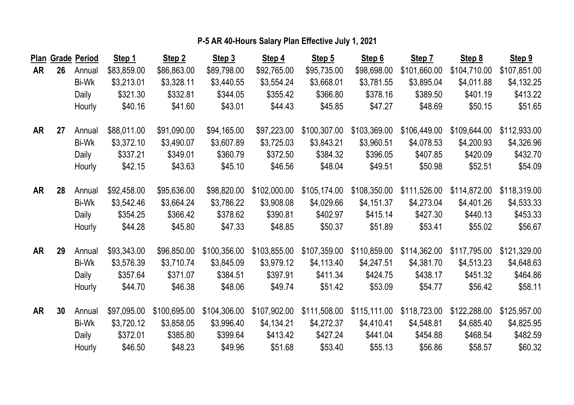|    |    | Plan Grade Period | Step 1      | Step 2       | Step 3       | Step 4       | Step 5       | Step 6       | Step 7       | Step 8       | Step 9       |
|----|----|-------------------|-------------|--------------|--------------|--------------|--------------|--------------|--------------|--------------|--------------|
| AR | 26 | Annual            | \$83,859.00 | \$86,863.00  | \$89,798.00  | \$92,765.00  | \$95,735.00  | \$98,698.00  | \$101,660.00 | \$104,710.00 | \$107,851.00 |
|    |    | Bi-Wk             | \$3,213.01  | \$3,328.11   | \$3,440.55   | \$3,554.24   | \$3,668.01   | \$3,781.55   | \$3,895.04   | \$4,011.88   | \$4,132.25   |
|    |    | Daily             | \$321.30    | \$332.81     | \$344.05     | \$355.42     | \$366.80     | \$378.16     | \$389.50     | \$401.19     | \$413.22     |
|    |    | Hourly            | \$40.16     | \$41.60      | \$43.01      | \$44.43      | \$45.85      | \$47.27      | \$48.69      | \$50.15      | \$51.65      |
| AR | 27 | Annual            | \$88,011.00 | \$91,090.00  | \$94,165.00  | \$97,223.00  | \$100,307.00 | \$103,369.00 | \$106,449.00 | \$109,644.00 | \$112,933.00 |
|    |    | Bi-Wk             | \$3,372.10  | \$3,490.07   | \$3,607.89   | \$3,725.03   | \$3,843.21   | \$3,960.51   | \$4,078.53   | \$4,200.93   | \$4,326.96   |
|    |    | Daily             | \$337.21    | \$349.01     | \$360.79     | \$372.50     | \$384.32     | \$396.05     | \$407.85     | \$420.09     | \$432.70     |
|    |    | Hourly            | \$42.15     | \$43.63      | \$45.10      | \$46.56      | \$48.04      | \$49.51      | \$50.98      | \$52.51      | \$54.09      |
| AR | 28 | Annual            | \$92,458.00 | \$95,636.00  | \$98,820.00  | \$102,000.00 | \$105,174.00 | \$108,350.00 | \$111,526.00 | \$114,872.00 | \$118,319.00 |
|    |    | Bi-Wk             | \$3,542.46  | \$3,664.24   | \$3,786.22   | \$3,908.08   | \$4,029.66   | \$4,151.37   | \$4,273.04   | \$4,401.26   | \$4,533.33   |
|    |    | Daily             | \$354.25    | \$366.42     | \$378.62     | \$390.81     | \$402.97     | \$415.14     | \$427.30     | \$440.13     | \$453.33     |
|    |    | Hourly            | \$44.28     | \$45.80      | \$47.33      | \$48.85      | \$50.37      | \$51.89      | \$53.41      | \$55.02      | \$56.67      |
| AR | 29 | Annual            | \$93,343.00 | \$96,850.00  | \$100,356.00 | \$103,855.00 | \$107,359.00 | \$110,859.00 | \$114,362.00 | \$117,795.00 | \$121,329.00 |
|    |    | Bi-Wk             | \$3,576.39  | \$3,710.74   | \$3,845.09   | \$3,979.12   | \$4,113.40   | \$4,247.51   | \$4,381.70   | \$4,513.23   | \$4,648.63   |
|    |    | Daily             | \$357.64    | \$371.07     | \$384.51     | \$397.91     | \$411.34     | \$424.75     | \$438.17     | \$451.32     | \$464.86     |
|    |    | Hourly            | \$44.70     | \$46.38      | \$48.06      | \$49.74      | \$51.42      | \$53.09      | \$54.77      | \$56.42      | \$58.11      |
| AR | 30 | Annual            | \$97,095.00 | \$100,695.00 | \$104,306.00 | \$107,902.00 | \$111,508.00 | \$115,111.00 | \$118,723.00 | \$122,288.00 | \$125,957.00 |
|    |    | Bi-Wk             | \$3,720.12  | \$3,858.05   | \$3,996.40   | \$4,134.21   | \$4,272.37   | \$4,410.41   | \$4,548.81   | \$4,685.40   | \$4,825.95   |
|    |    | Daily             | \$372.01    | \$385.80     | \$399.64     | \$413.42     | \$427.24     | \$441.04     | \$454.88     | \$468.54     | \$482.59     |
|    |    | Hourly            | \$46.50     | \$48.23      | \$49.96      | \$51.68      | \$53.40      | \$55.13      | \$56.86      | \$58.57      | \$60.32      |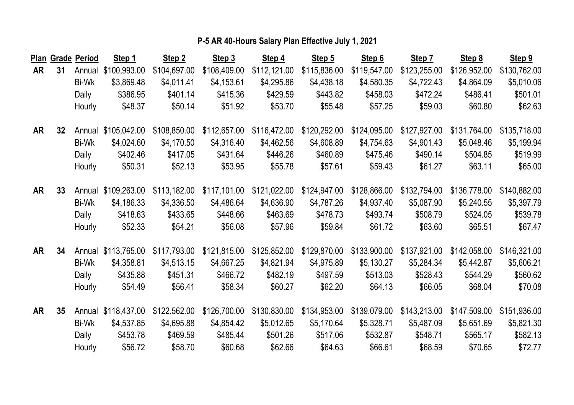|           |                 | Plan Grade Period | Step 1              | Step 2       | Step 3       | Step 4       | Step 5       | Step 6       | Step 7       | Step 8       | Step 9       |
|-----------|-----------------|-------------------|---------------------|--------------|--------------|--------------|--------------|--------------|--------------|--------------|--------------|
| AR        | 31              | Annual            | \$100,993.00        | \$104,697.00 | \$108,409.00 | \$112,121.00 | \$115,836.00 | \$119,547.00 | \$123,255.00 | \$126,952.00 | \$130,762.00 |
|           |                 | Bi-Wk             | \$3,869.48          | \$4,011.41   | \$4,153.61   | \$4,295.86   | \$4,438.18   | \$4,580.35   | \$4,722.43   | \$4,864.09   | \$5,010.06   |
|           |                 | Daily             | \$386.95            | \$401.14     | \$415.36     | \$429.59     | \$443.82     | \$458.03     | \$472.24     | \$486.41     | \$501.01     |
|           |                 | Hourly            | \$48.37             | \$50.14      | \$51.92      | \$53.70      | \$55.48      | \$57.25      | \$59.03      | \$60.80      | \$62.63      |
| AR        | 32 <sub>2</sub> |                   | Annual \$105,042.00 | \$108,850.00 | \$112,657.00 | \$116,472.00 | \$120,292.00 | \$124,095.00 | \$127,927.00 | \$131,764.00 | \$135,718.00 |
|           |                 | Bi-Wk             | \$4,024.60          | \$4,170.50   | \$4,316.40   | \$4,462.56   | \$4,608.89   | \$4,754.63   | \$4,901.43   | \$5,048.46   | \$5,199.94   |
|           |                 | Daily             | \$402.46            | \$417.05     | \$431.64     | \$446.26     | \$460.89     | \$475.46     | \$490.14     | \$504.85     | \$519.99     |
|           |                 | Hourly            | \$50.31             | \$52.13      | \$53.95      | \$55.78      | \$57.61      | \$59.43      | \$61.27      | \$63.11      | \$65.00      |
| <b>AR</b> | 33              | Annual            | \$109,263.00        | \$113,182.00 | \$117,101.00 | \$121,022.00 | \$124,947.00 | \$128,866.00 | \$132,794.00 | \$136,778.00 | \$140,882.00 |
|           |                 | Bi-Wk             | \$4,186.33          | \$4,336.50   | \$4,486.64   | \$4,636.90   | \$4,787.26   | \$4,937.40   | \$5,087.90   | \$5,240.55   | \$5,397.79   |
|           |                 | Daily             | \$418.63            | \$433.65     | \$448.66     | \$463.69     | \$478.73     | \$493.74     | \$508.79     | \$524.05     | \$539.78     |
|           |                 | Hourly            | \$52.33             | \$54.21      | \$56.08      | \$57.96      | \$59.84      | \$61.72      | \$63.60      | \$65.51      | \$67.47      |
| AR        | 34              |                   | Annual \$113,765.00 | \$117,793.00 | \$121,815.00 | \$125,852.00 | \$129,870.00 | \$133,900.00 | \$137,921.00 | \$142,058.00 | \$146,321.00 |
|           |                 | Bi-Wk             | \$4,358.81          | \$4,513.15   | \$4,667.25   | \$4,821.94   | \$4,975.89   | \$5,130.27   | \$5,284.34   | \$5,442.87   | \$5,606.21   |
|           |                 | Daily             | \$435.88            | \$451.31     | \$466.72     | \$482.19     | \$497.59     | \$513.03     | \$528.43     | \$544.29     | \$560.62     |
|           |                 | Hourly            | \$54.49             | \$56.41      | \$58.34      | \$60.27      | \$62.20      | \$64.13      | \$66.05      | \$68.04      | \$70.08      |
| <b>AR</b> | 35              | Annual            | \$118,437.00        | \$122,562.00 | \$126,700.00 | \$130,830.00 | \$134,953.00 | \$139,079.00 | \$143,213.00 | \$147,509.00 | \$151,936.00 |
|           |                 | Bi-Wk             | \$4,537.85          | \$4,695.88   | \$4,854.42   | \$5,012.65   | \$5,170.64   | \$5,328.71   | \$5,487.09   | \$5,651.69   | \$5,821.30   |
|           |                 | Daily             | \$453.78            | \$469.59     | \$485.44     | \$501.26     | \$517.06     | \$532.87     | \$548.71     | \$565.17     | \$582.13     |
|           |                 | Hourly            | \$56.72             | \$58.70      | \$60.68      | \$62.66      | \$64.63      | \$66.61      | \$68.59      | \$70.65      | \$72.77      |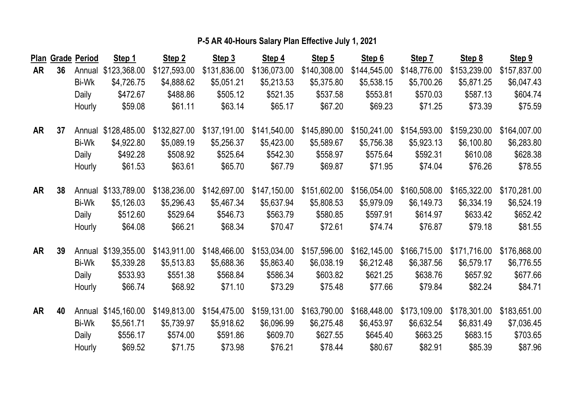|           |    | Plan Grade Period | Step 1       | Step 2       | Step 3       | Step 4       | Step 5       | Step 6       | Step 7       | Step 8       | Step 9       |
|-----------|----|-------------------|--------------|--------------|--------------|--------------|--------------|--------------|--------------|--------------|--------------|
| AR        | 36 | Annual            | \$123,368.00 | \$127,593.00 | \$131,836.00 | \$136,073.00 | \$140,308.00 | \$144,545.00 | \$148,776.00 | \$153,239.00 | \$157,837.00 |
|           |    | Bi-Wk             | \$4,726.75   | \$4,888.62   | \$5,051.21   | \$5,213.53   | \$5,375.80   | \$5,538.15   | \$5,700.26   | \$5,871.25   | \$6,047.43   |
|           |    | Daily             | \$472.67     | \$488.86     | \$505.12     | \$521.35     | \$537.58     | \$553.81     | \$570.03     | \$587.13     | \$604.74     |
|           |    | Hourly            | \$59.08      | \$61.11      | \$63.14      | \$65.17      | \$67.20      | \$69.23      | \$71.25      | \$73.39      | \$75.59      |
| AR        | 37 | Annual            | \$128,485.00 | \$132,827.00 | \$137,191.00 | \$141,540.00 | \$145,890.00 | \$150,241.00 | \$154,593.00 | \$159,230.00 | \$164,007.00 |
|           |    | Bi-Wk             | \$4,922.80   | \$5,089.19   | \$5,256.37   | \$5,423.00   | \$5,589.67   | \$5,756.38   | \$5,923.13   | \$6,100.80   | \$6,283.80   |
|           |    | Daily             | \$492.28     | \$508.92     | \$525.64     | \$542.30     | \$558.97     | \$575.64     | \$592.31     | \$610.08     | \$628.38     |
|           |    | Hourly            | \$61.53      | \$63.61      | \$65.70      | \$67.79      | \$69.87      | \$71.95      | \$74.04      | \$76.26      | \$78.55      |
| <b>AR</b> | 38 | Annual            | \$133,789.00 | \$138,236.00 | \$142,697.00 | \$147,150.00 | \$151,602.00 | \$156,054.00 | \$160,508.00 | \$165,322.00 | \$170,281.00 |
|           |    | Bi-Wk             | \$5,126.03   | \$5,296.43   | \$5,467.34   | \$5,637.94   | \$5,808.53   | \$5,979.09   | \$6,149.73   | \$6,334.19   | \$6,524.19   |
|           |    | Daily             | \$512.60     | \$529.64     | \$546.73     | \$563.79     | \$580.85     | \$597.91     | \$614.97     | \$633.42     | \$652.42     |
|           |    | Hourly            | \$64.08      | \$66.21      | \$68.34      | \$70.47      | \$72.61      | \$74.74      | \$76.87      | \$79.18      | \$81.55      |
| <b>AR</b> | 39 | Annual            | \$139,355.00 | \$143,911.00 | \$148,466.00 | \$153,034.00 | \$157,596.00 | \$162,145.00 | \$166,715.00 | \$171,716.00 | \$176,868.00 |
|           |    | Bi-Wk             | \$5,339.28   | \$5,513.83   | \$5,688.36   | \$5,863.40   | \$6,038.19   | \$6,212.48   | \$6,387.56   | \$6,579.17   | \$6,776.55   |
|           |    | Daily             | \$533.93     | \$551.38     | \$568.84     | \$586.34     | \$603.82     | \$621.25     | \$638.76     | \$657.92     | \$677.66     |
|           |    | Hourly            | \$66.74      | \$68.92      | \$71.10      | \$73.29      | \$75.48      | \$77.66      | \$79.84      | \$82.24      | \$84.71      |
| <b>AR</b> | 40 | Annual            | \$145,160.00 | \$149,813.00 | \$154,475.00 | \$159,131.00 | \$163,790.00 | \$168,448.00 | \$173,109.00 | \$178,301.00 | \$183,651.00 |
|           |    | Bi-Wk             | \$5,561.71   | \$5,739.97   | \$5,918.62   | \$6,096.99   | \$6,275.48   | \$6,453.97   | \$6,632.54   | \$6,831.49   | \$7,036.45   |
|           |    | Daily             | \$556.17     | \$574.00     | \$591.86     | \$609.70     | \$627.55     | \$645.40     | \$663.25     | \$683.15     | \$703.65     |
|           |    | Hourly            | \$69.52      | \$71.75      | \$73.98      | \$76.21      | \$78.44      | \$80.67      | \$82.91      | \$85.39      | \$87.96      |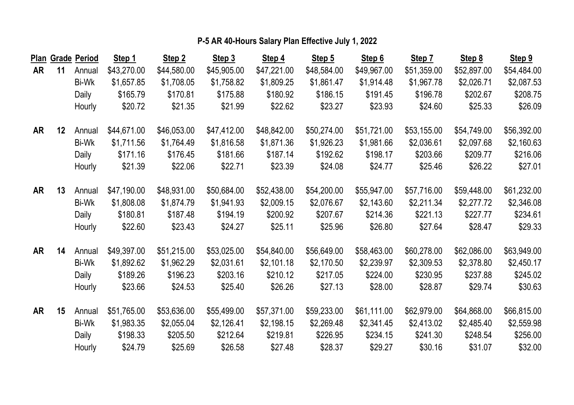|           |         | Plan Grade Period | Step 1      | Step 2      | Step 3      | Step 4      | Step 5      | Step 6      | Step 7      | Step 8      | Step 9      |
|-----------|---------|-------------------|-------------|-------------|-------------|-------------|-------------|-------------|-------------|-------------|-------------|
| AR        | 11      | Annual            | \$43,270.00 | \$44,580.00 | \$45,905.00 | \$47,221.00 | \$48,584.00 | \$49,967.00 | \$51,359.00 | \$52,897.00 | \$54,484.00 |
|           |         | Bi-Wk             | \$1,657.85  | \$1,708.05  | \$1,758.82  | \$1,809.25  | \$1,861.47  | \$1,914.48  | \$1,967.78  | \$2,026.71  | \$2,087.53  |
|           |         | Daily             | \$165.79    | \$170.81    | \$175.88    | \$180.92    | \$186.15    | \$191.45    | \$196.78    | \$202.67    | \$208.75    |
|           |         | Hourly            | \$20.72     | \$21.35     | \$21.99     | \$22.62     | \$23.27     | \$23.93     | \$24.60     | \$25.33     | \$26.09     |
| AR        | $12 \,$ | Annual            | \$44,671.00 | \$46,053.00 | \$47,412.00 | \$48,842.00 | \$50,274.00 | \$51,721.00 | \$53,155.00 | \$54,749.00 | \$56,392.00 |
|           |         | Bi-Wk             | \$1,711.56  | \$1,764.49  | \$1,816.58  | \$1,871.36  | \$1,926.23  | \$1,981.66  | \$2,036.61  | \$2,097.68  | \$2,160.63  |
|           |         | Daily             | \$171.16    | \$176.45    | \$181.66    | \$187.14    | \$192.62    | \$198.17    | \$203.66    | \$209.77    | \$216.06    |
|           |         | Hourly            | \$21.39     | \$22.06     | \$22.71     | \$23.39     | \$24.08     | \$24.77     | \$25.46     | \$26.22     | \$27.01     |
| <b>AR</b> | 13      | Annual            | \$47,190.00 | \$48,931.00 | \$50,684.00 | \$52,438.00 | \$54,200.00 | \$55,947.00 | \$57,716.00 | \$59,448.00 | \$61,232.00 |
|           |         | Bi-Wk             | \$1,808.08  | \$1,874.79  | \$1,941.93  | \$2,009.15  | \$2,076.67  | \$2,143.60  | \$2,211.34  | \$2,277.72  | \$2,346.08  |
|           |         | Daily             | \$180.81    | \$187.48    | \$194.19    | \$200.92    | \$207.67    | \$214.36    | \$221.13    | \$227.77    | \$234.61    |
|           |         | Hourly            | \$22.60     | \$23.43     | \$24.27     | \$25.11     | \$25.96     | \$26.80     | \$27.64     | \$28.47     | \$29.33     |
| AR        | 14      | Annual            | \$49,397.00 | \$51,215.00 | \$53,025.00 | \$54,840.00 | \$56,649.00 | \$58,463.00 | \$60,278.00 | \$62,086.00 | \$63,949.00 |
|           |         | Bi-Wk             | \$1,892.62  | \$1,962.29  | \$2,031.61  | \$2,101.18  | \$2,170.50  | \$2,239.97  | \$2,309.53  | \$2,378.80  | \$2,450.17  |
|           |         | Daily             | \$189.26    | \$196.23    | \$203.16    | \$210.12    | \$217.05    | \$224.00    | \$230.95    | \$237.88    | \$245.02    |
|           |         | Hourly            | \$23.66     | \$24.53     | \$25.40     | \$26.26     | \$27.13     | \$28.00     | \$28.87     | \$29.74     | \$30.63     |
| AR        | 15      | Annual            | \$51,765.00 | \$53,636.00 | \$55,499.00 | \$57,371.00 | \$59,233.00 | \$61,111.00 | \$62,979.00 | \$64,868.00 | \$66,815.00 |
|           |         | Bi-Wk             | \$1,983.35  | \$2,055.04  | \$2,126.41  | \$2,198.15  | \$2,269.48  | \$2,341.45  | \$2,413.02  | \$2,485.40  | \$2,559.98  |
|           |         | Daily             | \$198.33    | \$205.50    | \$212.64    | \$219.81    | \$226.95    | \$234.15    | \$241.30    | \$248.54    | \$256.00    |
|           |         | Hourly            | \$24.79     | \$25.69     | \$26.58     | \$27.48     | \$28.37     | \$29.27     | \$30.16     | \$31.07     | \$32.00     |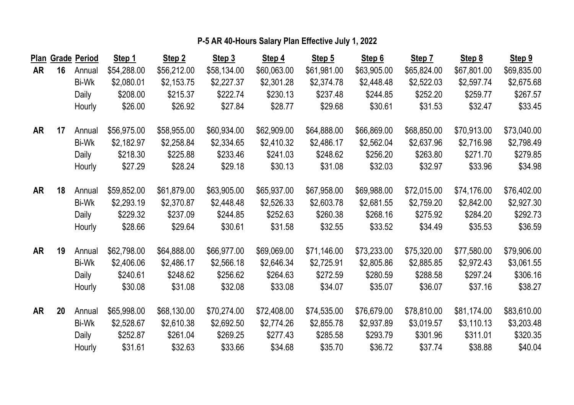|           |    | Plan Grade Period | Step 1      | Step 2      | Step 3      | Step 4      | Step 5      | Step 6      | Step 7      | Step 8      | Step 9      |
|-----------|----|-------------------|-------------|-------------|-------------|-------------|-------------|-------------|-------------|-------------|-------------|
| AR        | 16 | Annual            | \$54,288.00 | \$56,212.00 | \$58,134.00 | \$60,063.00 | \$61,981.00 | \$63,905.00 | \$65,824.00 | \$67,801.00 | \$69,835.00 |
|           |    | Bi-Wk             | \$2,080.01  | \$2,153.75  | \$2,227.37  | \$2,301.28  | \$2,374.78  | \$2,448.48  | \$2,522.03  | \$2,597.74  | \$2,675.68  |
|           |    | Daily             | \$208.00    | \$215.37    | \$222.74    | \$230.13    | \$237.48    | \$244.85    | \$252.20    | \$259.77    | \$267.57    |
|           |    | Hourly            | \$26.00     | \$26.92     | \$27.84     | \$28.77     | \$29.68     | \$30.61     | \$31.53     | \$32.47     | \$33.45     |
| AR        | 17 | Annual            | \$56,975.00 | \$58,955.00 | \$60,934.00 | \$62,909.00 | \$64,888.00 | \$66,869.00 | \$68,850.00 | \$70,913.00 | \$73,040.00 |
|           |    | Bi-Wk             | \$2,182.97  | \$2,258.84  | \$2,334.65  | \$2,410.32  | \$2,486.17  | \$2,562.04  | \$2,637.96  | \$2,716.98  | \$2,798.49  |
|           |    | Daily             | \$218.30    | \$225.88    | \$233.46    | \$241.03    | \$248.62    | \$256.20    | \$263.80    | \$271.70    | \$279.85    |
|           |    | Hourly            | \$27.29     | \$28.24     | \$29.18     | \$30.13     | \$31.08     | \$32.03     | \$32.97     | \$33.96     | \$34.98     |
| <b>AR</b> | 18 | Annual            | \$59,852.00 | \$61,879.00 | \$63,905.00 | \$65,937.00 | \$67,958.00 | \$69,988.00 | \$72,015.00 | \$74,176.00 | \$76,402.00 |
|           |    | Bi-Wk             | \$2,293.19  | \$2,370.87  | \$2,448.48  | \$2,526.33  | \$2,603.78  | \$2,681.55  | \$2,759.20  | \$2,842.00  | \$2,927.30  |
|           |    | Daily             | \$229.32    | \$237.09    | \$244.85    | \$252.63    | \$260.38    | \$268.16    | \$275.92    | \$284.20    | \$292.73    |
|           |    | Hourly            | \$28.66     | \$29.64     | \$30.61     | \$31.58     | \$32.55     | \$33.52     | \$34.49     | \$35.53     | \$36.59     |
| AR        | 19 | Annual            | \$62,798.00 | \$64,888.00 | \$66,977.00 | \$69,069.00 | \$71,146.00 | \$73,233.00 | \$75,320.00 | \$77,580.00 | \$79,906.00 |
|           |    | Bi-Wk             | \$2,406.06  | \$2,486.17  | \$2,566.18  | \$2,646.34  | \$2,725.91  | \$2,805.86  | \$2,885.85  | \$2,972.43  | \$3,061.55  |
|           |    | Daily             | \$240.61    | \$248.62    | \$256.62    | \$264.63    | \$272.59    | \$280.59    | \$288.58    | \$297.24    | \$306.16    |
|           |    | Hourly            | \$30.08     | \$31.08     | \$32.08     | \$33.08     | \$34.07     | \$35.07     | \$36.07     | \$37.16     | \$38.27     |
| AR        | 20 | Annual            | \$65,998.00 | \$68,130.00 | \$70,274.00 | \$72,408.00 | \$74,535.00 | \$76,679.00 | \$78,810.00 | \$81,174.00 | \$83,610.00 |
|           |    | Bi-Wk             | \$2,528.67  | \$2,610.38  | \$2,692.50  | \$2,774.26  | \$2,855.78  | \$2,937.89  | \$3,019.57  | \$3,110.13  | \$3,203.48  |
|           |    | Daily             | \$252.87    | \$261.04    | \$269.25    | \$277.43    | \$285.58    | \$293.79    | \$301.96    | \$311.01    | \$320.35    |
|           |    | Hourly            | \$31.61     | \$32.63     | \$33.66     | \$34.68     | \$35.70     | \$36.72     | \$37.74     | \$38.88     | \$40.04     |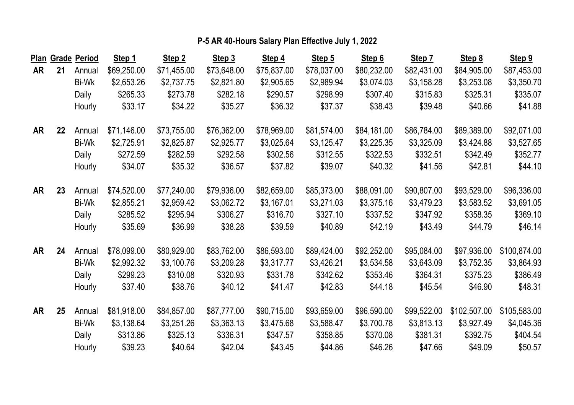|    |    | Plan Grade Period | Step 1      | Step 2      | Step 3      | Step 4      | Step 5      | Step 6      | Step 7      | Step 8       | Step 9       |
|----|----|-------------------|-------------|-------------|-------------|-------------|-------------|-------------|-------------|--------------|--------------|
| AR | 21 | Annual            | \$69,250.00 | \$71,455.00 | \$73,648.00 | \$75,837.00 | \$78,037.00 | \$80,232.00 | \$82,431.00 | \$84,905.00  | \$87,453.00  |
|    |    | Bi-Wk             | \$2,653.26  | \$2,737.75  | \$2,821.80  | \$2,905.65  | \$2,989.94  | \$3,074.03  | \$3,158.28  | \$3,253.08   | \$3,350.70   |
|    |    | Daily             | \$265.33    | \$273.78    | \$282.18    | \$290.57    | \$298.99    | \$307.40    | \$315.83    | \$325.31     | \$335.07     |
|    |    | Hourly            | \$33.17     | \$34.22     | \$35.27     | \$36.32     | \$37.37     | \$38.43     | \$39.48     | \$40.66      | \$41.88      |
| AR | 22 | Annual            | \$71,146.00 | \$73,755.00 | \$76,362.00 | \$78,969.00 | \$81,574.00 | \$84,181.00 | \$86,784.00 | \$89,389.00  | \$92,071.00  |
|    |    | Bi-Wk             | \$2,725.91  | \$2,825.87  | \$2,925.77  | \$3,025.64  | \$3,125.47  | \$3,225.35  | \$3,325.09  | \$3,424.88   | \$3,527.65   |
|    |    | Daily             | \$272.59    | \$282.59    | \$292.58    | \$302.56    | \$312.55    | \$322.53    | \$332.51    | \$342.49     | \$352.77     |
|    |    | Hourly            | \$34.07     | \$35.32     | \$36.57     | \$37.82     | \$39.07     | \$40.32     | \$41.56     | \$42.81      | \$44.10      |
| AR | 23 | Annual            | \$74,520.00 | \$77,240.00 | \$79,936.00 | \$82,659.00 | \$85,373.00 | \$88,091.00 | \$90,807.00 | \$93,529.00  | \$96,336.00  |
|    |    | Bi-Wk             | \$2,855.21  | \$2,959.42  | \$3,062.72  | \$3,167.01  | \$3,271.03  | \$3,375.16  | \$3,479.23  | \$3,583.52   | \$3,691.05   |
|    |    | Daily             | \$285.52    | \$295.94    | \$306.27    | \$316.70    | \$327.10    | \$337.52    | \$347.92    | \$358.35     | \$369.10     |
|    |    | Hourly            | \$35.69     | \$36.99     | \$38.28     | \$39.59     | \$40.89     | \$42.19     | \$43.49     | \$44.79      | \$46.14      |
| AR | 24 | Annual            | \$78,099.00 | \$80,929.00 | \$83,762.00 | \$86,593.00 | \$89,424.00 | \$92,252.00 | \$95,084.00 | \$97,936.00  | \$100,874.00 |
|    |    | Bi-Wk             | \$2,992.32  | \$3,100.76  | \$3,209.28  | \$3,317.77  | \$3,426.21  | \$3,534.58  | \$3,643.09  | \$3,752.35   | \$3,864.93   |
|    |    | Daily             | \$299.23    | \$310.08    | \$320.93    | \$331.78    | \$342.62    | \$353.46    | \$364.31    | \$375.23     | \$386.49     |
|    |    | Hourly            | \$37.40     | \$38.76     | \$40.12     | \$41.47     | \$42.83     | \$44.18     | \$45.54     | \$46.90      | \$48.31      |
| AR | 25 | Annual            | \$81,918.00 | \$84,857.00 | \$87,777.00 | \$90,715.00 | \$93,659.00 | \$96,590.00 | \$99,522.00 | \$102,507.00 | \$105,583.00 |
|    |    | Bi-Wk             | \$3,138.64  | \$3,251.26  | \$3,363.13  | \$3,475.68  | \$3,588.47  | \$3,700.78  | \$3,813.13  | \$3,927.49   | \$4,045.36   |
|    |    | Daily             | \$313.86    | \$325.13    | \$336.31    | \$347.57    | \$358.85    | \$370.08    | \$381.31    | \$392.75     | \$404.54     |
|    |    | Hourly            | \$39.23     | \$40.64     | \$42.04     | \$43.45     | \$44.86     | \$46.26     | \$47.66     | \$49.09      | \$50.57      |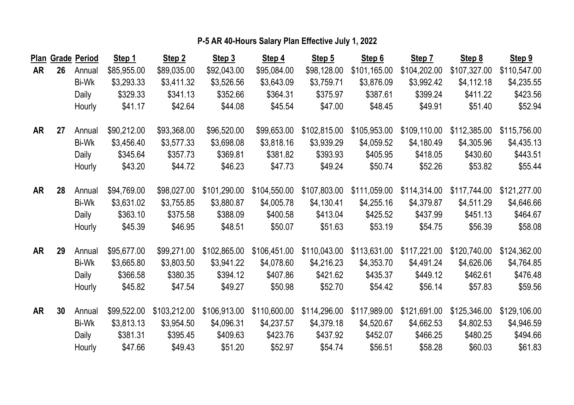|           |    | Plan Grade Period | Step 1      | Step 2       | Step 3       | Step 4       | Step 5       | Step 6       | Step 7       | Step 8       | Step 9       |
|-----------|----|-------------------|-------------|--------------|--------------|--------------|--------------|--------------|--------------|--------------|--------------|
| AR        | 26 | Annual            | \$85,955.00 | \$89,035.00  | \$92,043.00  | \$95,084.00  | \$98,128.00  | \$101,165.00 | \$104,202.00 | \$107,327.00 | \$110,547.00 |
|           |    | Bi-Wk             | \$3,293.33  | \$3,411.32   | \$3,526.56   | \$3,643.09   | \$3,759.71   | \$3,876.09   | \$3,992.42   | \$4,112.18   | \$4,235.55   |
|           |    | Daily             | \$329.33    | \$341.13     | \$352.66     | \$364.31     | \$375.97     | \$387.61     | \$399.24     | \$411.22     | \$423.56     |
|           |    | Hourly            | \$41.17     | \$42.64      | \$44.08      | \$45.54      | \$47.00      | \$48.45      | \$49.91      | \$51.40      | \$52.94      |
| <b>AR</b> | 27 | Annual            | \$90,212.00 | \$93,368.00  | \$96,520.00  | \$99,653.00  | \$102,815.00 | \$105,953.00 | \$109,110.00 | \$112,385.00 | \$115,756.00 |
|           |    | Bi-Wk             | \$3,456.40  | \$3,577.33   | \$3,698.08   | \$3,818.16   | \$3,939.29   | \$4,059.52   | \$4,180.49   | \$4,305.96   | \$4,435.13   |
|           |    | Daily             | \$345.64    | \$357.73     | \$369.81     | \$381.82     | \$393.93     | \$405.95     | \$418.05     | \$430.60     | \$443.51     |
|           |    | Hourly            | \$43.20     | \$44.72      | \$46.23      | \$47.73      | \$49.24      | \$50.74      | \$52.26      | \$53.82      | \$55.44      |
| <b>AR</b> | 28 | Annual            | \$94,769.00 | \$98,027.00  | \$101,290.00 | \$104,550.00 | \$107,803.00 | \$111,059.00 | \$114,314.00 | \$117,744.00 | \$121,277.00 |
|           |    | Bi-Wk             | \$3,631.02  | \$3,755.85   | \$3,880.87   | \$4,005.78   | \$4,130.41   | \$4,255.16   | \$4,379.87   | \$4,511.29   | \$4,646.66   |
|           |    | Daily             | \$363.10    | \$375.58     | \$388.09     | \$400.58     | \$413.04     | \$425.52     | \$437.99     | \$451.13     | \$464.67     |
|           |    | Hourly            | \$45.39     | \$46.95      | \$48.51      | \$50.07      | \$51.63      | \$53.19      | \$54.75      | \$56.39      | \$58.08      |
| <b>AR</b> | 29 | Annual            | \$95,677.00 | \$99,271.00  | \$102,865.00 | \$106,451.00 | \$110,043.00 | \$113,631.00 | \$117,221.00 | \$120,740.00 | \$124,362.00 |
|           |    | Bi-Wk             | \$3,665.80  | \$3,803.50   | \$3,941.22   | \$4,078.60   | \$4,216.23   | \$4,353.70   | \$4,491.24   | \$4,626.06   | \$4,764.85   |
|           |    | Daily             | \$366.58    | \$380.35     | \$394.12     | \$407.86     | \$421.62     | \$435.37     | \$449.12     | \$462.61     | \$476.48     |
|           |    | Hourly            | \$45.82     | \$47.54      | \$49.27      | \$50.98      | \$52.70      | \$54.42      | \$56.14      | \$57.83      | \$59.56      |
| <b>AR</b> | 30 | Annual            | \$99,522.00 | \$103,212.00 | \$106,913.00 | \$110,600.00 | \$114,296.00 | \$117,989.00 | \$121,691.00 | \$125,346.00 | \$129,106.00 |
|           |    | Bi-Wk             | \$3,813.13  | \$3,954.50   | \$4,096.31   | \$4,237.57   | \$4,379.18   | \$4,520.67   | \$4,662.53   | \$4,802.53   | \$4,946.59   |
|           |    | Daily             | \$381.31    | \$395.45     | \$409.63     | \$423.76     | \$437.92     | \$452.07     | \$466.25     | \$480.25     | \$494.66     |
|           |    | Hourly            | \$47.66     | \$49.43      | \$51.20      | \$52.97      | \$54.74      | \$56.51      | \$58.28      | \$60.03      | \$61.83      |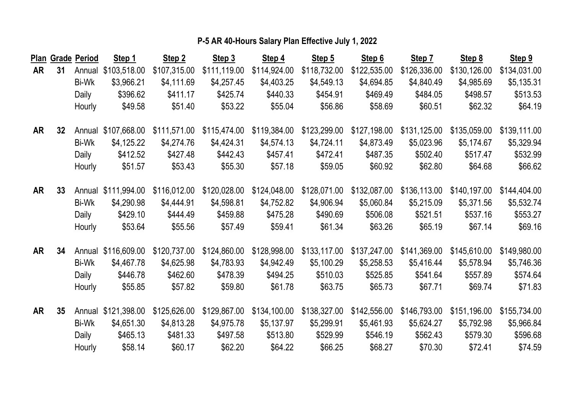|           |    | Plan Grade Period | Step 1              | Step 2       | Step 3       | Step 4       | Step 5       | Step 6       | Step 7       | Step 8       | Step 9       |
|-----------|----|-------------------|---------------------|--------------|--------------|--------------|--------------|--------------|--------------|--------------|--------------|
| AR        | 31 | Annual            | \$103,518.00        | \$107,315.00 | \$111,119.00 | \$114,924.00 | \$118,732.00 | \$122,535.00 | \$126,336.00 | \$130,126.00 | \$134,031.00 |
|           |    | Bi-Wk             | \$3,966.21          | \$4,111.69   | \$4,257.45   | \$4,403.25   | \$4,549.13   | \$4,694.85   | \$4,840.49   | \$4,985.69   | \$5,135.31   |
|           |    | Daily             | \$396.62            | \$411.17     | \$425.74     | \$440.33     | \$454.91     | \$469.49     | \$484.05     | \$498.57     | \$513.53     |
|           |    | Hourly            | \$49.58             | \$51.40      | \$53.22      | \$55.04      | \$56.86      | \$58.69      | \$60.51      | \$62.32      | \$64.19      |
| AR        | 32 | Annual            | \$107,668.00        | \$111,571.00 | \$115,474.00 | \$119,384.00 | \$123,299.00 | \$127,198.00 | \$131,125.00 | \$135,059.00 | \$139,111.00 |
|           |    | Bi-Wk             | \$4,125.22          | \$4,274.76   | \$4,424.31   | \$4,574.13   | \$4,724.11   | \$4,873.49   | \$5,023.96   | \$5,174.67   | \$5,329.94   |
|           |    | Daily             | \$412.52            | \$427.48     | \$442.43     | \$457.41     | \$472.41     | \$487.35     | \$502.40     | \$517.47     | \$532.99     |
|           |    | Hourly            | \$51.57             | \$53.43      | \$55.30      | \$57.18      | \$59.05      | \$60.92      | \$62.80      | \$64.68      | \$66.62      |
| <b>AR</b> | 33 | Annual            | \$111,994.00        | \$116,012.00 | \$120,028.00 | \$124,048.00 | \$128,071.00 | \$132,087.00 | \$136,113.00 | \$140,197.00 | \$144,404.00 |
|           |    | Bi-Wk             | \$4,290.98          | \$4,444.91   | \$4,598.81   | \$4,752.82   | \$4,906.94   | \$5,060.84   | \$5,215.09   | \$5,371.56   | \$5,532.74   |
|           |    | Daily             | \$429.10            | \$444.49     | \$459.88     | \$475.28     | \$490.69     | \$506.08     | \$521.51     | \$537.16     | \$553.27     |
|           |    | Hourly            | \$53.64             | \$55.56      | \$57.49      | \$59.41      | \$61.34      | \$63.26      | \$65.19      | \$67.14      | \$69.16      |
| AR        | 34 |                   | Annual \$116,609.00 | \$120,737.00 | \$124,860.00 | \$128,998.00 | \$133,117.00 | \$137,247.00 | \$141,369.00 | \$145,610.00 | \$149,980.00 |
|           |    | Bi-Wk             | \$4,467.78          | \$4,625.98   | \$4,783.93   | \$4,942.49   | \$5,100.29   | \$5,258.53   | \$5,416.44   | \$5,578.94   | \$5,746.36   |
|           |    | Daily             | \$446.78            | \$462.60     | \$478.39     | \$494.25     | \$510.03     | \$525.85     | \$541.64     | \$557.89     | \$574.64     |
|           |    | Hourly            | \$55.85             | \$57.82      | \$59.80      | \$61.78      | \$63.75      | \$65.73      | \$67.71      | \$69.74      | \$71.83      |
| <b>AR</b> | 35 | Annual            | \$121,398.00        | \$125,626.00 | \$129,867.00 | \$134,100.00 | \$138,327.00 | \$142,556.00 | \$146,793.00 | \$151,196.00 | \$155,734.00 |
|           |    | Bi-Wk             | \$4,651.30          | \$4,813.28   | \$4,975.78   | \$5,137.97   | \$5,299.91   | \$5,461.93   | \$5,624.27   | \$5,792.98   | \$5,966.84   |
|           |    | Daily             | \$465.13            | \$481.33     | \$497.58     | \$513.80     | \$529.99     | \$546.19     | \$562.43     | \$579.30     | \$596.68     |
|           |    | Hourly            | \$58.14             | \$60.17      | \$62.20      | \$64.22      | \$66.25      | \$68.27      | \$70.30      | \$72.41      | \$74.59      |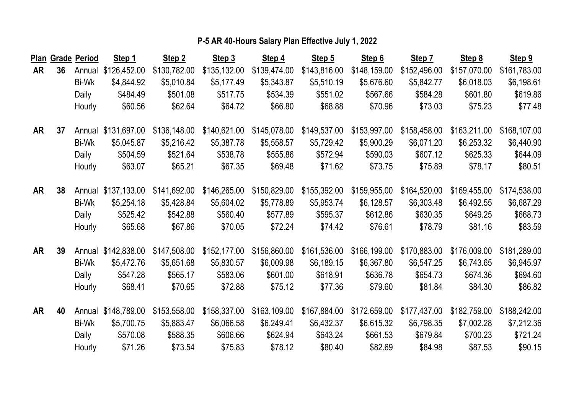|           |    | Plan Grade Period | Step 1              | Step 2       | Step 3       | Step 4       | Step 5       | Step 6       | Step 7       | Step 8       | Step 9       |
|-----------|----|-------------------|---------------------|--------------|--------------|--------------|--------------|--------------|--------------|--------------|--------------|
| AR        | 36 | Annual            | \$126,452.00        | \$130,782.00 | \$135,132.00 | \$139,474.00 | \$143,816.00 | \$148,159.00 | \$152,496.00 | \$157,070.00 | \$161,783.00 |
|           |    | Bi-Wk             | \$4,844.92          | \$5,010.84   | \$5,177.49   | \$5,343.87   | \$5,510.19   | \$5,676.60   | \$5,842.77   | \$6,018.03   | \$6,198.61   |
|           |    | Daily             | \$484.49            | \$501.08     | \$517.75     | \$534.39     | \$551.02     | \$567.66     | \$584.28     | \$601.80     | \$619.86     |
|           |    | Hourly            | \$60.56             | \$62.64      | \$64.72      | \$66.80      | \$68.88      | \$70.96      | \$73.03      | \$75.23      | \$77.48      |
| AR        | 37 |                   | Annual \$131,697.00 | \$136,148.00 | \$140,621.00 | \$145,078.00 | \$149,537.00 | \$153,997.00 | \$158,458.00 | \$163,211.00 | \$168,107.00 |
|           |    | Bi-Wk             | \$5,045.87          | \$5,216.42   | \$5,387.78   | \$5,558.57   | \$5,729.42   | \$5,900.29   | \$6,071.20   | \$6,253.32   | \$6,440.90   |
|           |    | Daily             | \$504.59            | \$521.64     | \$538.78     | \$555.86     | \$572.94     | \$590.03     | \$607.12     | \$625.33     | \$644.09     |
|           |    | Hourly            | \$63.07             | \$65.21      | \$67.35      | \$69.48      | \$71.62      | \$73.75      | \$75.89      | \$78.17      | \$80.51      |
| <b>AR</b> | 38 | Annual            | \$137,133.00        | \$141,692.00 | \$146,265.00 | \$150,829.00 | \$155,392.00 | \$159,955.00 | \$164,520.00 | \$169,455.00 | \$174,538.00 |
|           |    | Bi-Wk             | \$5,254.18          | \$5,428.84   | \$5,604.02   | \$5,778.89   | \$5,953.74   | \$6,128.57   | \$6,303.48   | \$6,492.55   | \$6,687.29   |
|           |    | Daily             | \$525.42            | \$542.88     | \$560.40     | \$577.89     | \$595.37     | \$612.86     | \$630.35     | \$649.25     | \$668.73     |
|           |    | Hourly            | \$65.68             | \$67.86      | \$70.05      | \$72.24      | \$74.42      | \$76.61      | \$78.79      | \$81.16      | \$83.59      |
| AR        | 39 |                   | Annual \$142,838.00 | \$147,508.00 | \$152,177.00 | \$156,860.00 | \$161,536.00 | \$166,199.00 | \$170,883.00 | \$176,009.00 | \$181,289.00 |
|           |    | Bi-Wk             | \$5,472.76          | \$5,651.68   | \$5,830.57   | \$6,009.98   | \$6,189.15   | \$6,367.80   | \$6,547.25   | \$6,743.65   | \$6,945.97   |
|           |    | Daily             | \$547.28            | \$565.17     | \$583.06     | \$601.00     | \$618.91     | \$636.78     | \$654.73     | \$674.36     | \$694.60     |
|           |    | Hourly            | \$68.41             | \$70.65      | \$72.88      | \$75.12      | \$77.36      | \$79.60      | \$81.84      | \$84.30      | \$86.82      |
| <b>AR</b> | 40 | Annual            | \$148,789.00        | \$153,558.00 | \$158,337.00 | \$163,109.00 | \$167,884.00 | \$172,659.00 | \$177,437.00 | \$182,759.00 | \$188,242.00 |
|           |    | Bi-Wk             | \$5,700.75          | \$5,883.47   | \$6,066.58   | \$6,249.41   | \$6,432.37   | \$6,615.32   | \$6,798.35   | \$7,002.28   | \$7,212.36   |
|           |    | Daily             | \$570.08            | \$588.35     | \$606.66     | \$624.94     | \$643.24     | \$661.53     | \$679.84     | \$700.23     | \$721.24     |
|           |    | Hourly            | \$71.26             | \$73.54      | \$75.83      | \$78.12      | \$80.40      | \$82.69      | \$84.98      | \$87.53      | \$90.15      |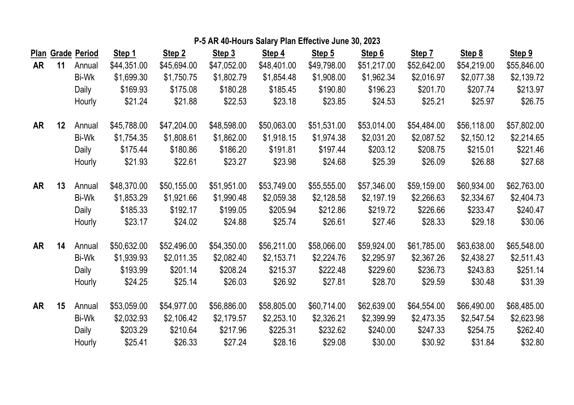|           |                   | Plan Grade Period | Step 1      | Step 2      | Step 3      | Step 4      | Step 5      | Step 6      | Step 7      | Step 8      | Step 9      |
|-----------|-------------------|-------------------|-------------|-------------|-------------|-------------|-------------|-------------|-------------|-------------|-------------|
| <b>AR</b> | 11                | Annual            | \$44,351.00 | \$45,694.00 | \$47,052.00 | \$48,401.00 | \$49,798.00 | \$51,217.00 | \$52,642.00 | \$54,219.00 | \$55,846.00 |
|           |                   | Bi-Wk             | \$1,699.30  | \$1,750.75  | \$1,802.79  | \$1,854.48  | \$1,908.00  | \$1,962.34  | \$2,016.97  | \$2,077.38  | \$2,139.72  |
|           |                   | Daily             | \$169.93    | \$175.08    | \$180.28    | \$185.45    | \$190.80    | \$196.23    | \$201.70    | \$207.74    | \$213.97    |
|           |                   | Hourly            | \$21.24     | \$21.88     | \$22.53     | \$23.18     | \$23.85     | \$24.53     | \$25.21     | \$25.97     | \$26.75     |
| AR        | $12 \overline{ }$ | Annual            | \$45,788.00 | \$47,204.00 | \$48,598.00 | \$50,063.00 | \$51,531.00 | \$53,014.00 | \$54,484.00 | \$56,118.00 | \$57,802.00 |
|           |                   | Bi-Wk             | \$1,754.35  | \$1,808.61  | \$1,862.00  | \$1,918.15  | \$1,974.38  | \$2,031.20  | \$2,087.52  | \$2,150.12  | \$2,214.65  |
|           |                   | Daily             | \$175.44    | \$180.86    | \$186.20    | \$191.81    | \$197.44    | \$203.12    | \$208.75    | \$215.01    | \$221.46    |
|           |                   | Hourly            | \$21.93     | \$22.61     | \$23.27     | \$23.98     | \$24.68     | \$25.39     | \$26.09     | \$26.88     | \$27.68     |
| <b>AR</b> | 13                | Annual            | \$48,370.00 | \$50,155.00 | \$51,951.00 | \$53,749.00 | \$55,555.00 | \$57,346.00 | \$59,159.00 | \$60,934.00 | \$62,763.00 |
|           |                   | Bi-Wk             | \$1,853.29  | \$1,921.66  | \$1,990.48  | \$2,059.38  | \$2,128.58  | \$2,197.19  | \$2,266.63  | \$2,334.67  | \$2,404.73  |
|           |                   | Daily             | \$185.33    | \$192.17    | \$199.05    | \$205.94    | \$212.86    | \$219.72    | \$226.66    | \$233.47    | \$240.47    |
|           |                   | Hourly            | \$23.17     | \$24.02     | \$24.88     | \$25.74     | \$26.61     | \$27.46     | \$28.33     | \$29.18     | \$30.06     |
| AR        | 14                | Annual            | \$50,632.00 | \$52,496.00 | \$54,350.00 | \$56,211.00 | \$58,066.00 | \$59,924.00 | \$61,785.00 | \$63,638.00 | \$65,548.00 |
|           |                   | Bi-Wk             | \$1,939.93  | \$2,011.35  | \$2,082.40  | \$2,153.71  | \$2,224.76  | \$2,295.97  | \$2,367.26  | \$2,438.27  | \$2,511.43  |
|           |                   | Daily             | \$193.99    | \$201.14    | \$208.24    | \$215.37    | \$222.48    | \$229.60    | \$236.73    | \$243.83    | \$251.14    |
|           |                   | Hourly            | \$24.25     | \$25.14     | \$26.03     | \$26.92     | \$27.81     | \$28.70     | \$29.59     | \$30.48     | \$31.39     |
| AR        | 15                | Annual            | \$53,059.00 | \$54,977.00 | \$56,886.00 | \$58,805.00 | \$60,714.00 | \$62,639.00 | \$64,554.00 | \$66,490.00 | \$68,485.00 |
|           |                   | Bi-Wk             | \$2,032.93  | \$2,106.42  | \$2,179.57  | \$2,253.10  | \$2,326.21  | \$2,399.99  | \$2,473.35  | \$2,547.54  | \$2,623.98  |
|           |                   | Daily             | \$203.29    | \$210.64    | \$217.96    | \$225.31    | \$232.62    | \$240.00    | \$247.33    | \$254.75    | \$262.40    |
|           |                   | Hourly            | \$25.41     | \$26.33     | \$27.24     | \$28.16     | \$29.08     | \$30.00     | \$30.92     | \$31.84     | \$32.80     |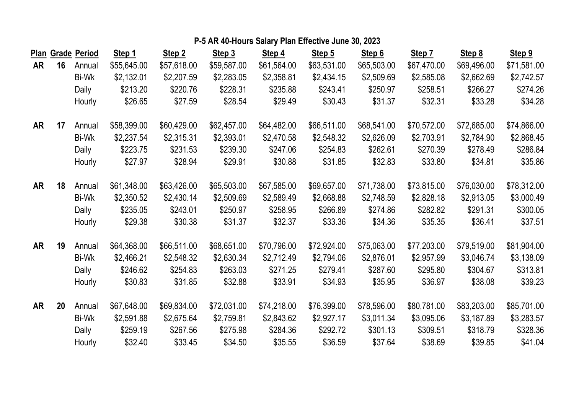|    |    | Plan Grade Period | Step 1      | Step 2      | Step 3      | Step 4      | Step 5      | Step 6      | Step 7      | Step 8      | Step 9      |
|----|----|-------------------|-------------|-------------|-------------|-------------|-------------|-------------|-------------|-------------|-------------|
| AR | 16 | Annual            | \$55,645.00 | \$57,618.00 | \$59,587.00 | \$61,564.00 | \$63,531.00 | \$65,503.00 | \$67,470.00 | \$69,496.00 | \$71,581.00 |
|    |    | Bi-Wk             | \$2,132.01  | \$2,207.59  | \$2,283.05  | \$2,358.81  | \$2,434.15  | \$2,509.69  | \$2,585.08  | \$2,662.69  | \$2,742.57  |
|    |    | Daily             | \$213.20    | \$220.76    | \$228.31    | \$235.88    | \$243.41    | \$250.97    | \$258.51    | \$266.27    | \$274.26    |
|    |    | Hourly            | \$26.65     | \$27.59     | \$28.54     | \$29.49     | \$30.43     | \$31.37     | \$32.31     | \$33.28     | \$34.28     |
| AR | 17 | Annual            | \$58,399.00 | \$60,429.00 | \$62,457.00 | \$64,482.00 | \$66,511.00 | \$68,541.00 | \$70,572.00 | \$72,685.00 | \$74,866.00 |
|    |    | Bi-Wk             | \$2,237.54  | \$2,315.31  | \$2,393.01  | \$2,470.58  | \$2,548.32  | \$2,626.09  | \$2,703.91  | \$2,784.90  | \$2,868.45  |
|    |    | Daily             | \$223.75    | \$231.53    | \$239.30    | \$247.06    | \$254.83    | \$262.61    | \$270.39    | \$278.49    | \$286.84    |
|    |    | Hourly            | \$27.97     | \$28.94     | \$29.91     | \$30.88     | \$31.85     | \$32.83     | \$33.80     | \$34.81     | \$35.86     |
| AR | 18 | Annual            | \$61,348.00 | \$63,426.00 | \$65,503.00 | \$67,585.00 | \$69,657.00 | \$71,738.00 | \$73,815.00 | \$76,030.00 | \$78,312.00 |
|    |    | Bi-Wk             | \$2,350.52  | \$2,430.14  | \$2,509.69  | \$2,589.49  | \$2,668.88  | \$2,748.59  | \$2,828.18  | \$2,913.05  | \$3,000.49  |
|    |    | Daily             | \$235.05    | \$243.01    | \$250.97    | \$258.95    | \$266.89    | \$274.86    | \$282.82    | \$291.31    | \$300.05    |
|    |    | Hourly            | \$29.38     | \$30.38     | \$31.37     | \$32.37     | \$33.36     | \$34.36     | \$35.35     | \$36.41     | \$37.51     |
| AR | 19 | Annual            | \$64,368.00 | \$66,511.00 | \$68,651.00 | \$70,796.00 | \$72,924.00 | \$75,063.00 | \$77,203.00 | \$79,519.00 | \$81,904.00 |
|    |    | <b>Bi-Wk</b>      | \$2,466.21  | \$2,548.32  | \$2,630.34  | \$2,712.49  | \$2,794.06  | \$2,876.01  | \$2,957.99  | \$3,046.74  | \$3,138.09  |
|    |    | Daily             | \$246.62    | \$254.83    | \$263.03    | \$271.25    | \$279.41    | \$287.60    | \$295.80    | \$304.67    | \$313.81    |
|    |    | Hourly            | \$30.83     | \$31.85     | \$32.88     | \$33.91     | \$34.93     | \$35.95     | \$36.97     | \$38.08     | \$39.23     |
| AR | 20 | Annual            | \$67,648.00 | \$69,834.00 | \$72,031.00 | \$74,218.00 | \$76,399.00 | \$78,596.00 | \$80,781.00 | \$83,203.00 | \$85,701.00 |
|    |    | Bi-Wk             | \$2,591.88  | \$2,675.64  | \$2,759.81  | \$2,843.62  | \$2,927.17  | \$3,011.34  | \$3,095.06  | \$3,187.89  | \$3,283.57  |
|    |    | Daily             | \$259.19    | \$267.56    | \$275.98    | \$284.36    | \$292.72    | \$301.13    | \$309.51    | \$318.79    | \$328.36    |
|    |    | Hourly            | \$32.40     | \$33.45     | \$34.50     | \$35.55     | \$36.59     | \$37.64     | \$38.69     | \$39.85     | \$41.04     |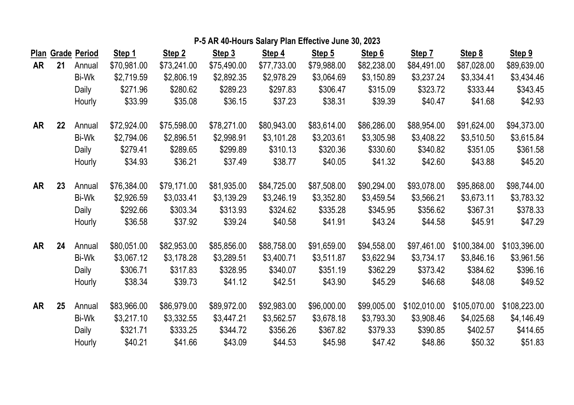|           |    | Plan Grade Period | Step 1      | Step 2      | Step 3      | Step 4      | Step 5      | Step 6      | Step 7       | Step 8       | Step 9       |
|-----------|----|-------------------|-------------|-------------|-------------|-------------|-------------|-------------|--------------|--------------|--------------|
| AR        | 21 | Annual            | \$70,981.00 | \$73,241.00 | \$75,490.00 | \$77,733.00 | \$79,988.00 | \$82,238.00 | \$84,491.00  | \$87,028.00  | \$89,639.00  |
|           |    | Bi-Wk             | \$2,719.59  | \$2,806.19  | \$2,892.35  | \$2,978.29  | \$3,064.69  | \$3,150.89  | \$3,237.24   | \$3,334.41   | \$3,434.46   |
|           |    | Daily             | \$271.96    | \$280.62    | \$289.23    | \$297.83    | \$306.47    | \$315.09    | \$323.72     | \$333.44     | \$343.45     |
|           |    | Hourly            | \$33.99     | \$35.08     | \$36.15     | \$37.23     | \$38.31     | \$39.39     | \$40.47      | \$41.68      | \$42.93      |
| <b>AR</b> | 22 | Annual            | \$72,924.00 | \$75,598.00 | \$78,271.00 | \$80,943.00 | \$83,614.00 | \$86,286.00 | \$88,954.00  | \$91,624.00  | \$94,373.00  |
|           |    | Bi-Wk             | \$2,794.06  | \$2,896.51  | \$2,998.91  | \$3,101.28  | \$3,203.61  | \$3,305.98  | \$3,408.22   | \$3,510.50   | \$3,615.84   |
|           |    | Daily             | \$279.41    | \$289.65    | \$299.89    | \$310.13    | \$320.36    | \$330.60    | \$340.82     | \$351.05     | \$361.58     |
|           |    | Hourly            | \$34.93     | \$36.21     | \$37.49     | \$38.77     | \$40.05     | \$41.32     | \$42.60      | \$43.88      | \$45.20      |
| AR        | 23 | Annual            | \$76,384.00 | \$79,171.00 | \$81,935.00 | \$84,725.00 | \$87,508.00 | \$90,294.00 | \$93,078.00  | \$95,868.00  | \$98,744.00  |
|           |    | Bi-Wk             | \$2,926.59  | \$3,033.41  | \$3,139.29  | \$3,246.19  | \$3,352.80  | \$3,459.54  | \$3,566.21   | \$3,673.11   | \$3,783.32   |
|           |    | Daily             | \$292.66    | \$303.34    | \$313.93    | \$324.62    | \$335.28    | \$345.95    | \$356.62     | \$367.31     | \$378.33     |
|           |    | Hourly            | \$36.58     | \$37.92     | \$39.24     | \$40.58     | \$41.91     | \$43.24     | \$44.58      | \$45.91      | \$47.29      |
| AR        | 24 | Annual            | \$80,051.00 | \$82,953.00 | \$85,856.00 | \$88,758.00 | \$91,659.00 | \$94,558.00 | \$97,461.00  | \$100,384.00 | \$103,396.00 |
|           |    | Bi-Wk             | \$3,067.12  | \$3,178.28  | \$3,289.51  | \$3,400.71  | \$3,511.87  | \$3,622.94  | \$3,734.17   | \$3,846.16   | \$3,961.56   |
|           |    | Daily             | \$306.71    | \$317.83    | \$328.95    | \$340.07    | \$351.19    | \$362.29    | \$373.42     | \$384.62     | \$396.16     |
|           |    | Hourly            | \$38.34     | \$39.73     | \$41.12     | \$42.51     | \$43.90     | \$45.29     | \$46.68      | \$48.08      | \$49.52      |
| AR        | 25 | Annual            | \$83,966.00 | \$86,979.00 | \$89,972.00 | \$92,983.00 | \$96,000.00 | \$99,005.00 | \$102,010.00 | \$105,070.00 | \$108,223.00 |
|           |    | Bi-Wk             | \$3,217.10  | \$3,332.55  | \$3,447.21  | \$3,562.57  | \$3,678.18  | \$3,793.30  | \$3,908.46   | \$4,025.68   | \$4,146.49   |
|           |    | Daily             | \$321.71    | \$333.25    | \$344.72    | \$356.26    | \$367.82    | \$379.33    | \$390.85     | \$402.57     | \$414.65     |
|           |    | Hourly            | \$40.21     | \$41.66     | \$43.09     | \$44.53     | \$45.98     | \$47.42     | \$48.86      | \$50.32      | \$51.83      |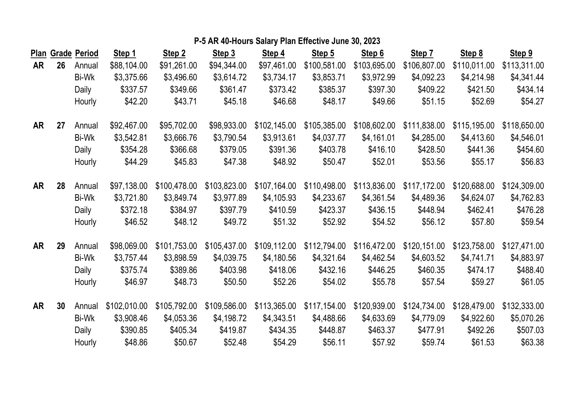|           |    | Plan Grade Period | Step 1       | Step 2       | Step 3       | Step 4       | Step 5       | Step 6       | Step 7       | Step 8       | Step 9       |
|-----------|----|-------------------|--------------|--------------|--------------|--------------|--------------|--------------|--------------|--------------|--------------|
| AR        | 26 | Annual            | \$88,104.00  | \$91,261.00  | \$94,344.00  | \$97,461.00  | \$100,581.00 | \$103,695.00 | \$106,807.00 | \$110,011.00 | \$113,311.00 |
|           |    | Bi-Wk             | \$3,375.66   | \$3,496.60   | \$3,614.72   | \$3,734.17   | \$3,853.71   | \$3,972.99   | \$4,092.23   | \$4,214.98   | \$4,341.44   |
|           |    | Daily             | \$337.57     | \$349.66     | \$361.47     | \$373.42     | \$385.37     | \$397.30     | \$409.22     | \$421.50     | \$434.14     |
|           |    | Hourly            | \$42.20      | \$43.71      | \$45.18      | \$46.68      | \$48.17      | \$49.66      | \$51.15      | \$52.69      | \$54.27      |
| AR        | 27 | Annual            | \$92,467.00  | \$95,702.00  | \$98,933.00  | \$102,145.00 | \$105,385.00 | \$108,602.00 | \$111,838.00 | \$115,195.00 | \$118,650.00 |
|           |    | Bi-Wk             | \$3,542.81   | \$3,666.76   | \$3,790.54   | \$3,913.61   | \$4,037.77   | \$4,161.01   | \$4,285.00   | \$4,413.60   | \$4,546.01   |
|           |    | Daily             | \$354.28     | \$366.68     | \$379.05     | \$391.36     | \$403.78     | \$416.10     | \$428.50     | \$441.36     | \$454.60     |
|           |    | Hourly            | \$44.29      | \$45.83      | \$47.38      | \$48.92      | \$50.47      | \$52.01      | \$53.56      | \$55.17      | \$56.83      |
| <b>AR</b> | 28 | Annual            | \$97,138.00  | \$100,478.00 | \$103,823.00 | \$107,164.00 | \$110,498.00 | \$113,836.00 | \$117,172.00 | \$120,688.00 | \$124,309.00 |
|           |    | Bi-Wk             | \$3,721.80   | \$3,849.74   | \$3,977.89   | \$4,105.93   | \$4,233.67   | \$4,361.54   | \$4,489.36   | \$4,624.07   | \$4,762.83   |
|           |    | Daily             | \$372.18     | \$384.97     | \$397.79     | \$410.59     | \$423.37     | \$436.15     | \$448.94     | \$462.41     | \$476.28     |
|           |    | Hourly            | \$46.52      | \$48.12      | \$49.72      | \$51.32      | \$52.92      | \$54.52      | \$56.12      | \$57.80      | \$59.54      |
| AR        | 29 | Annual            | \$98,069.00  | \$101,753.00 | \$105,437.00 | \$109,112.00 | \$112,794.00 | \$116,472.00 | \$120,151.00 | \$123,758.00 | \$127,471.00 |
|           |    | Bi-Wk             | \$3,757.44   | \$3,898.59   | \$4,039.75   | \$4,180.56   | \$4,321.64   | \$4,462.54   | \$4,603.52   | \$4,741.71   | \$4,883.97   |
|           |    | Daily             | \$375.74     | \$389.86     | \$403.98     | \$418.06     | \$432.16     | \$446.25     | \$460.35     | \$474.17     | \$488.40     |
|           |    | Hourly            | \$46.97      | \$48.73      | \$50.50      | \$52.26      | \$54.02      | \$55.78      | \$57.54      | \$59.27      | \$61.05      |
| AR        | 30 | Annual            | \$102,010.00 | \$105,792.00 | \$109,586.00 | \$113,365.00 | \$117,154.00 | \$120,939.00 | \$124,734.00 | \$128,479.00 | \$132,333.00 |
|           |    | Bi-Wk             | \$3,908.46   | \$4,053.36   | \$4,198.72   | \$4,343.51   | \$4,488.66   | \$4,633.69   | \$4,779.09   | \$4,922.60   | \$5,070.26   |
|           |    | Daily             | \$390.85     | \$405.34     | \$419.87     | \$434.35     | \$448.87     | \$463.37     | \$477.91     | \$492.26     | \$507.03     |
|           |    | Hourly            | \$48.86      | \$50.67      | \$52.48      | \$54.29      | \$56.11      | \$57.92      | \$59.74      | \$61.53      | \$63.38      |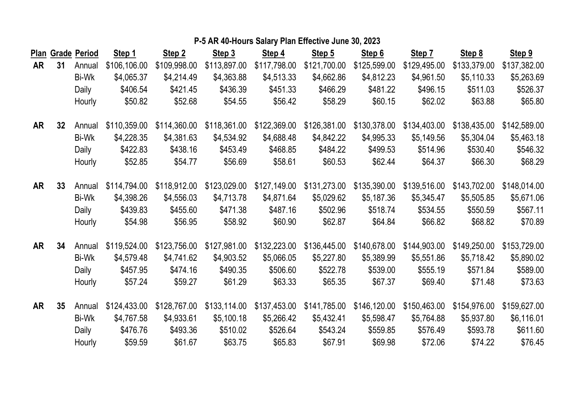|    |    | Plan Grade Period | Step 1       | Step 2       | Step 3       | Step 4       | Step 5       | Step 6       | Step 7       | Step 8       | Step 9       |
|----|----|-------------------|--------------|--------------|--------------|--------------|--------------|--------------|--------------|--------------|--------------|
| AR | 31 | Annual            | \$106,106.00 | \$109,998.00 | \$113,897.00 | \$117,798.00 | \$121,700.00 | \$125,599.00 | \$129,495.00 | \$133,379.00 | \$137,382.00 |
|    |    | Bi-Wk             | \$4,065.37   | \$4,214.49   | \$4,363.88   | \$4,513.33   | \$4,662.86   | \$4,812.23   | \$4,961.50   | \$5,110.33   | \$5,263.69   |
|    |    | Daily             | \$406.54     | \$421.45     | \$436.39     | \$451.33     | \$466.29     | \$481.22     | \$496.15     | \$511.03     | \$526.37     |
|    |    | Hourly            | \$50.82      | \$52.68      | \$54.55      | \$56.42      | \$58.29      | \$60.15      | \$62.02      | \$63.88      | \$65.80      |
| AR | 32 | Annual            | \$110,359.00 | \$114,360.00 | \$118,361.00 | \$122,369.00 | \$126,381.00 | \$130,378.00 | \$134,403.00 | \$138,435.00 | \$142,589.00 |
|    |    | Bi-Wk             | \$4,228.35   | \$4,381.63   | \$4,534.92   | \$4,688.48   | \$4,842.22   | \$4,995.33   | \$5,149.56   | \$5,304.04   | \$5,463.18   |
|    |    | Daily             | \$422.83     | \$438.16     | \$453.49     | \$468.85     | \$484.22     | \$499.53     | \$514.96     | \$530.40     | \$546.32     |
|    |    | Hourly            | \$52.85      | \$54.77      | \$56.69      | \$58.61      | \$60.53      | \$62.44      | \$64.37      | \$66.30      | \$68.29      |
| AR | 33 | Annual            | \$114,794.00 | \$118,912.00 | \$123,029.00 | \$127,149.00 | \$131,273.00 | \$135,390.00 | \$139,516.00 | \$143,702.00 | \$148,014.00 |
|    |    | <b>Bi-Wk</b>      | \$4,398.26   | \$4,556.03   | \$4,713.78   | \$4,871.64   | \$5,029.62   | \$5,187.36   | \$5,345.47   | \$5,505.85   | \$5,671.06   |
|    |    | Daily             | \$439.83     | \$455.60     | \$471.38     | \$487.16     | \$502.96     | \$518.74     | \$534.55     | \$550.59     | \$567.11     |
|    |    | Hourly            | \$54.98      | \$56.95      | \$58.92      | \$60.90      | \$62.87      | \$64.84      | \$66.82      | \$68.82      | \$70.89      |
| AR | 34 | Annual            | \$119,524.00 | \$123,756.00 | \$127,981.00 | \$132,223.00 | \$136,445.00 | \$140,678.00 | \$144,903.00 | \$149,250.00 | \$153,729.00 |
|    |    | <b>Bi-Wk</b>      | \$4,579.48   | \$4,741.62   | \$4,903.52   | \$5,066.05   | \$5,227.80   | \$5,389.99   | \$5,551.86   | \$5,718.42   | \$5,890.02   |
|    |    | Daily             | \$457.95     | \$474.16     | \$490.35     | \$506.60     | \$522.78     | \$539.00     | \$555.19     | \$571.84     | \$589.00     |
|    |    | Hourly            | \$57.24      | \$59.27      | \$61.29      | \$63.33      | \$65.35      | \$67.37      | \$69.40      | \$71.48      | \$73.63      |
| AR | 35 | Annual            | \$124,433.00 | \$128,767.00 | \$133,114.00 | \$137,453.00 | \$141,785.00 | \$146,120.00 | \$150,463.00 | \$154,976.00 | \$159,627.00 |
|    |    | Bi-Wk             | \$4,767.58   | \$4,933.61   | \$5,100.18   | \$5,266.42   | \$5,432.41   | \$5,598.47   | \$5,764.88   | \$5,937.80   | \$6,116.01   |
|    |    | Daily             | \$476.76     | \$493.36     | \$510.02     | \$526.64     | \$543.24     | \$559.85     | \$576.49     | \$593.78     | \$611.60     |
|    |    | Hourly            | \$59.59      | \$61.67      | \$63.75      | \$65.83      | \$67.91      | \$69.98      | \$72.06      | \$74.22      | \$76.45      |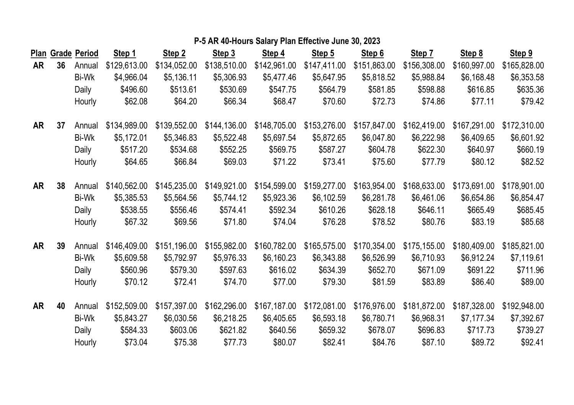|    |    | Plan Grade Period | Step 1       | Step 2       | Step 3       | Step 4       | Step 5       | Step 6       | Step 7       | Step 8       | Step 9       |
|----|----|-------------------|--------------|--------------|--------------|--------------|--------------|--------------|--------------|--------------|--------------|
| AR | 36 | Annual            | \$129,613.00 | \$134,052.00 | \$138,510.00 | \$142,961.00 | \$147,411.00 | \$151,863.00 | \$156,308.00 | \$160,997.00 | \$165,828.00 |
|    |    | <b>Bi-Wk</b>      | \$4,966.04   | \$5,136.11   | \$5,306.93   | \$5,477.46   | \$5,647.95   | \$5,818.52   | \$5,988.84   | \$6,168.48   | \$6,353.58   |
|    |    | Daily             | \$496.60     | \$513.61     | \$530.69     | \$547.75     | \$564.79     | \$581.85     | \$598.88     | \$616.85     | \$635.36     |
|    |    | Hourly            | \$62.08      | \$64.20      | \$66.34      | \$68.47      | \$70.60      | \$72.73      | \$74.86      | \$77.11      | \$79.42      |
| AR | 37 | Annual            | \$134,989.00 | \$139,552.00 | \$144,136.00 | \$148,705.00 | \$153,276.00 | \$157,847.00 | \$162,419.00 | \$167,291.00 | \$172,310.00 |
|    |    | Bi-Wk             | \$5,172.01   | \$5,346.83   | \$5,522.48   | \$5,697.54   | \$5,872.65   | \$6,047.80   | \$6,222.98   | \$6,409.65   | \$6,601.92   |
|    |    | Daily             | \$517.20     | \$534.68     | \$552.25     | \$569.75     | \$587.27     | \$604.78     | \$622.30     | \$640.97     | \$660.19     |
|    |    | Hourly            | \$64.65      | \$66.84      | \$69.03      | \$71.22      | \$73.41      | \$75.60      | \$77.79      | \$80.12      | \$82.52      |
| AR | 38 | Annual            | \$140,562.00 | \$145,235.00 | \$149,921.00 | \$154,599.00 | \$159,277.00 | \$163,954.00 | \$168,633.00 | \$173,691.00 | \$178,901.00 |
|    |    | Bi-Wk             | \$5,385.53   | \$5,564.56   | \$5,744.12   | \$5,923.36   | \$6,102.59   | \$6,281.78   | \$6,461.06   | \$6,654.86   | \$6,854.47   |
|    |    | Daily             | \$538.55     | \$556.46     | \$574.41     | \$592.34     | \$610.26     | \$628.18     | \$646.11     | \$665.49     | \$685.45     |
|    |    | Hourly            | \$67.32      | \$69.56      | \$71.80      | \$74.04      | \$76.28      | \$78.52      | \$80.76      | \$83.19      | \$85.68      |
| AR | 39 | Annual            | \$146,409.00 | \$151,196.00 | \$155,982.00 | \$160,782.00 | \$165,575.00 | \$170,354.00 | \$175,155.00 | \$180,409.00 | \$185,821.00 |
|    |    | Bi-Wk             | \$5,609.58   | \$5,792.97   | \$5,976.33   | \$6,160.23   | \$6,343.88   | \$6,526.99   | \$6,710.93   | \$6,912.24   | \$7,119.61   |
|    |    | Daily             | \$560.96     | \$579.30     | \$597.63     | \$616.02     | \$634.39     | \$652.70     | \$671.09     | \$691.22     | \$711.96     |
|    |    | Hourly            | \$70.12      | \$72.41      | \$74.70      | \$77.00      | \$79.30      | \$81.59      | \$83.89      | \$86.40      | \$89.00      |
| AR | 40 | Annual            | \$152,509.00 | \$157,397.00 | \$162,296.00 | \$167,187.00 | \$172,081.00 | \$176,976.00 | \$181,872.00 | \$187,328.00 | \$192,948.00 |
|    |    | Bi-Wk             | \$5,843.27   | \$6,030.56   | \$6,218.25   | \$6,405.65   | \$6,593.18   | \$6,780.71   | \$6,968.31   | \$7,177.34   | \$7,392.67   |
|    |    | Daily             | \$584.33     | \$603.06     | \$621.82     | \$640.56     | \$659.32     | \$678.07     | \$696.83     | \$717.73     | \$739.27     |
|    |    | Hourly            | \$73.04      | \$75.38      | \$77.73      | \$80.07      | \$82.41      | \$84.76      | \$87.10      | \$89.72      | \$92.41      |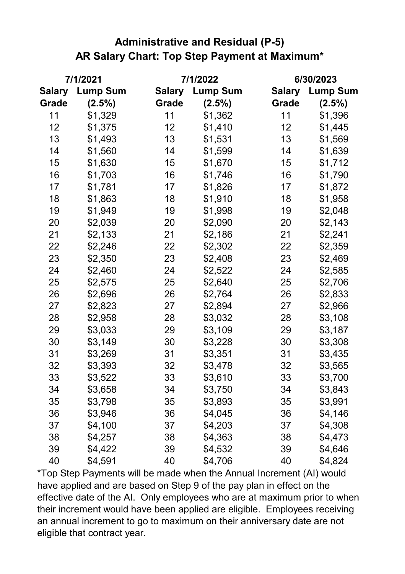## **Administrative and Residual (P-5) AR Salary Chart: Top Step Payment at Maximum\***

|               | 7/1/2021        |               | 7/1/2022        |               | 6/30/2023       |  |  |
|---------------|-----------------|---------------|-----------------|---------------|-----------------|--|--|
| <b>Salary</b> | <b>Lump Sum</b> | <b>Salary</b> | <b>Lump Sum</b> | <b>Salary</b> | <b>Lump Sum</b> |  |  |
| Grade         | (2.5%)          | Grade         | (2.5%)          | Grade         | (2.5%)          |  |  |
| 11            | \$1,329         | 11            | \$1,362         | 11            | \$1,396         |  |  |
| 12            | \$1,375         | 12            | \$1,410         | 12            | \$1,445         |  |  |
| 13            | \$1,493         | 13            | \$1,531         | 13            | \$1,569         |  |  |
| 14            | \$1,560         | 14            | \$1,599         | 14            | \$1,639         |  |  |
| 15            | \$1,630         | 15            | \$1,670         | 15            | \$1,712         |  |  |
| 16            | \$1,703         | 16            | \$1,746         | 16            | \$1,790         |  |  |
| 17            | \$1,781         | 17            | \$1,826         | 17            | \$1,872         |  |  |
| 18            | \$1,863         | 18            | \$1,910         | 18            | \$1,958         |  |  |
| 19            | \$1,949         | 19            | \$1,998         | 19            | \$2,048         |  |  |
| 20            | \$2,039         | 20            | \$2,090         | 20            | \$2,143         |  |  |
| 21            | \$2,133         | 21            | \$2,186         | 21            | \$2,241         |  |  |
| 22            | \$2,246         | 22            | \$2,302         | 22            | \$2,359         |  |  |
| 23            | \$2,350         | 23            | \$2,408         | 23            | \$2,469         |  |  |
| 24            | \$2,460         | 24            | \$2,522         | 24            | \$2,585         |  |  |
| 25            | \$2,575         | 25            | \$2,640         | 25            | \$2,706         |  |  |
| 26            | \$2,696         | 26            | \$2,764         | 26            | \$2,833         |  |  |
| 27            | \$2,823         | 27            | \$2,894         | 27            | \$2,966         |  |  |
| 28            | \$2,958         | 28            | \$3,032         | 28            | \$3,108         |  |  |
| 29            | \$3,033         | 29            | \$3,109         | 29            | \$3,187         |  |  |
| 30            | \$3,149         | 30            | \$3,228         | 30            | \$3,308         |  |  |
| 31            | \$3,269         | 31            | \$3,351         | 31            | \$3,435         |  |  |
| 32            | \$3,393         | 32            | \$3,478         | 32            | \$3,565         |  |  |
| 33            | \$3,522         | 33            | \$3,610         | 33            | \$3,700         |  |  |
| 34            | \$3,658         | 34            | \$3,750         | 34            | \$3,843         |  |  |
| 35            | \$3,798         | 35            | \$3,893         | 35            | \$3,991         |  |  |
| 36            | \$3,946         | 36            | \$4,045         | 36            | \$4,146         |  |  |
| 37            | \$4,100         | 37            | \$4,203         | 37            | \$4,308         |  |  |
| 38            | \$4,257         | 38            | \$4,363         | 38            | \$4,473         |  |  |
| 39            | \$4,422         | 39            | \$4,532         | 39            | \$4,646         |  |  |
| 40            | \$4,591         | 40            | \$4,706         | 40            | \$4,824         |  |  |

\*Top Step Payments will be made when the Annual Increment (AI) would have applied and are based on Step 9 of the pay plan in effect on the effective date of the AI. Only employees who are at maximum prior to when their increment would have been applied are eligible. Employees receiving an annual increment to go to maximum on their anniversary date are not eligible that contract year.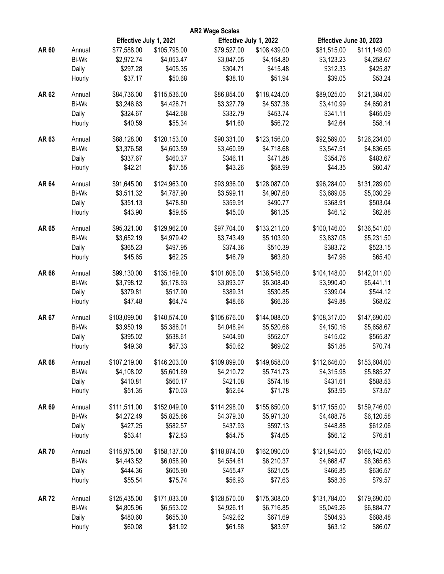|             |              |                        |              | <b>AR2 Wage Scales</b> |              |                         |              |
|-------------|--------------|------------------------|--------------|------------------------|--------------|-------------------------|--------------|
|             |              | Effective July 1, 2021 |              | Effective July 1, 2022 |              | Effective June 30, 2023 |              |
| AR 60       | Annual       | \$77,588.00            | \$105,795.00 | \$79,527.00            | \$108,439.00 | \$81,515.00             | \$111,149.00 |
|             | Bi-Wk        | \$2,972.74             | \$4,053.47   | \$3,047.05             | \$4,154.80   | \$3,123.23              | \$4,258.67   |
|             | Daily        | \$297.28               | \$405.35     | \$304.71               | \$415.48     | \$312.33                | \$425.87     |
|             | Hourly       | \$37.17                | \$50.68      | \$38.10                | \$51.94      | \$39.05                 | \$53.24      |
|             |              |                        |              |                        |              |                         |              |
| AR 62       | Annual       | \$84,736.00            | \$115,536.00 | \$86,854.00            | \$118,424.00 | \$89,025.00             | \$121,384.00 |
|             | Bi-Wk        | \$3,246.63             | \$4,426.71   | \$3,327.79             | \$4,537.38   | \$3,410.99              | \$4,650.81   |
|             | Daily        | \$324.67               | \$442.68     | \$332.79               | \$453.74     | \$341.11                | \$465.09     |
|             | Hourly       | \$40.59                | \$55.34      | \$41.60                | \$56.72      | \$42.64                 | \$58.14      |
| AR 63       | Annual       | \$88,128.00            | \$120,153.00 | \$90,331.00            | \$123,156.00 | \$92,589.00             | \$126,234.00 |
|             | Bi-Wk        | \$3,376.58             | \$4,603.59   | \$3,460.99             | \$4,718.68   | \$3,547.51              | \$4,836.65   |
|             | Daily        | \$337.67               | \$460.37     | \$346.11               | \$471.88     | \$354.76                | \$483.67     |
|             | Hourly       | \$42.21                | \$57.55      | \$43.26                | \$58.99      | \$44.35                 | \$60.47      |
|             |              |                        |              |                        |              |                         |              |
| <b>AR64</b> | Annual       | \$91,645.00            | \$124,963.00 | \$93,936.00            | \$128,087.00 | \$96,284.00             | \$131,289.00 |
|             | Bi-Wk        | \$3,511.32             | \$4,787.90   | \$3,599.11             | \$4,907.60   | \$3,689.08              | \$5,030.29   |
|             | Daily        | \$351.13               | \$478.80     | \$359.91               | \$490.77     | \$368.91                | \$503.04     |
|             | Hourly       | \$43.90                | \$59.85      | \$45.00                | \$61.35      | \$46.12                 | \$62.88      |
| AR 65       | Annual       | \$95,321.00            | \$129,962.00 | \$97,704.00            | \$133,211.00 | \$100,146.00            | \$136,541.00 |
|             | <b>Bi-Wk</b> | \$3,652.19             | \$4,979.42   | \$3,743.49             | \$5,103.90   | \$3,837.08              | \$5,231.50   |
|             | Daily        | \$365.23               | \$497.95     | \$374.36               | \$510.39     | \$383.72                | \$523.15     |
|             | Hourly       | \$45.65                | \$62.25      | \$46.79                | \$63.80      | \$47.96                 | \$65.40      |
| AR 66       | Annual       | \$99,130.00            | \$135,169.00 | \$101,608.00           | \$138,548.00 | \$104,148.00            | \$142,011.00 |
|             |              |                        |              |                        |              |                         |              |
|             | Bi-Wk        | \$3,798.12             | \$5,178.93   | \$3,893.07             | \$5,308.40   | \$3,990.40              | \$5,441.11   |
|             | Daily        | \$379.81               | \$517.90     | \$389.31               | \$530.85     | \$399.04                | \$544.12     |
|             | Hourly       | \$47.48                | \$64.74      | \$48.66                | \$66.36      | \$49.88                 | \$68.02      |
| AR 67       | Annual       | \$103,099.00           | \$140,574.00 | \$105,676.00           | \$144,088.00 | \$108,317.00            | \$147,690.00 |
|             | Bi-Wk        | \$3,950.19             | \$5,386.01   | \$4,048.94             | \$5,520.66   | \$4,150.16              | \$5,658.67   |
|             | Daily        | \$395.02               | \$538.61     | \$404.90               | \$552.07     | \$415.02                | \$565.87     |
|             | Hourly       | \$49.38                | \$67.33      | \$50.62                | \$69.02      | \$51.88                 | \$70.74      |
| AR 68       | Annual       | \$107,219.00           | \$146,203.00 | \$109,899.00           | \$149,858.00 | \$112,646.00            | \$153,604.00 |
|             | Bi-Wk        | \$4,108.02             | \$5,601.69   | \$4,210.72             | \$5,741.73   | \$4,315.98              | \$5,885.27   |
|             | Daily        | \$410.81               | \$560.17     | \$421.08               | \$574.18     | \$431.61                | \$588.53     |
|             | Hourly       | \$51.35                | \$70.03      | \$52.64                | \$71.78      | \$53.95                 | \$73.57      |
|             |              |                        |              |                        |              |                         |              |
| AR 69       | Annual       | \$111,511.00           | \$152,049.00 | \$114,298.00           | \$155,850.00 | \$117,155.00            | \$159,746.00 |
|             | <b>Bi-Wk</b> | \$4,272.49             | \$5,825.66   | \$4,379.30             | \$5,971.30   | \$4,488.78              | \$6,120.58   |
|             | Daily        | \$427.25               | \$582.57     | \$437.93               | \$597.13     | \$448.88                | \$612.06     |
|             | Hourly       | \$53.41                | \$72.83      | \$54.75                | \$74.65      | \$56.12                 | \$76.51      |
| <b>AR70</b> | Annual       | \$115,975.00           | \$158,137.00 | \$118,874.00           | \$162,090.00 | \$121,845.00            | \$166,142.00 |
|             | <b>Bi-Wk</b> | \$4,443.52             | \$6,058.90   | \$4,554.61             | \$6,210.37   | \$4,668.47              | \$6,365.63   |
|             | Daily        | \$444.36               | \$605.90     | \$455.47               | \$621.05     | \$466.85                | \$636.57     |
|             | Hourly       | \$55.54                | \$75.74      | \$56.93                | \$77.63      | \$58.36                 | \$79.57      |
|             |              |                        |              |                        |              |                         |              |
| <b>AR72</b> | Annual       | \$125,435.00           | \$171,033.00 | \$128,570.00           | \$175,308.00 | \$131,784.00            | \$179,690.00 |
|             | Bi-Wk        | \$4,805.96             | \$6,553.02   | \$4,926.11             | \$6,716.85   | \$5,049.26              | \$6,884.77   |
|             | Daily        | \$480.60               | \$655.30     | \$492.62               | \$671.69     | \$504.93                | \$688.48     |
|             | Hourly       | \$60.08                | \$81.92      | \$61.58                | \$83.97      | \$63.12                 | \$86.07      |